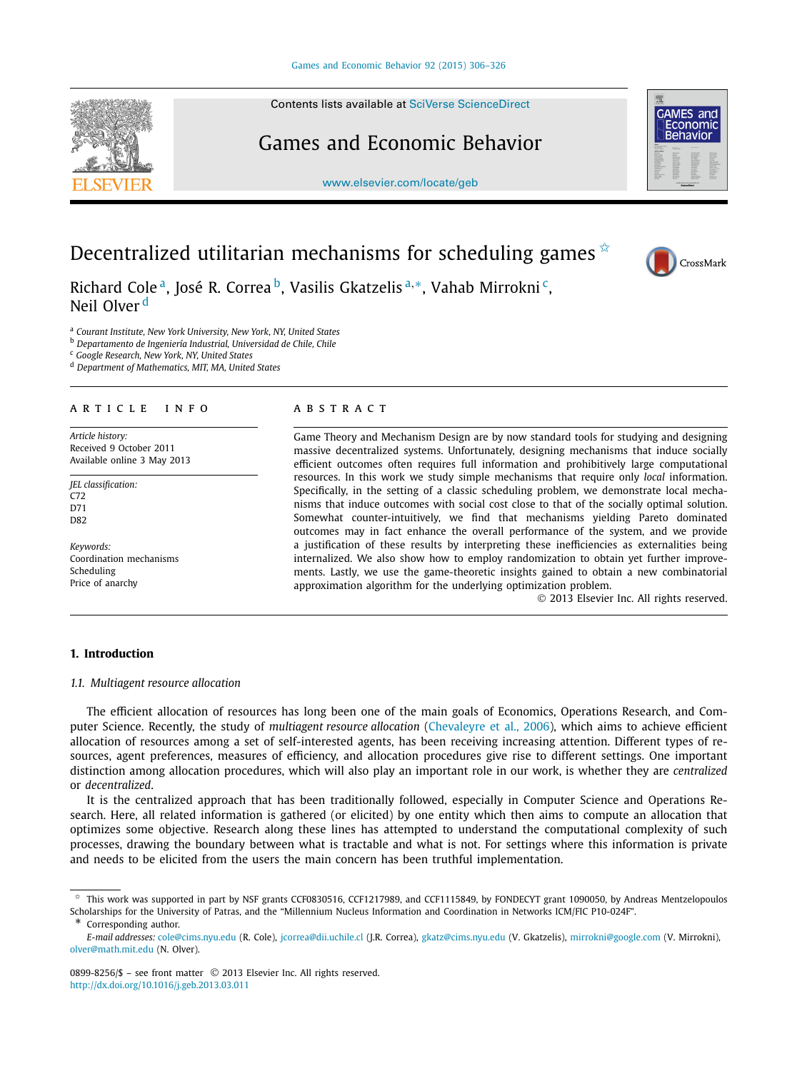Contents lists available at [SciVerse ScienceDirect](http://www.ScienceDirect.com/)

# Games and Economic Behavior

[www.elsevier.com/locate/geb](http://www.elsevier.com/locate/geb)



CrossMark

# Decentralized utilitarian mechanisms for scheduling games  $*$

Richard Cole<sup>a</sup>, José R. Correa<sup>b</sup>, Vasilis Gkatzelis<sup>a,∗</sup>, Vahab Mirrokni<sup>c</sup>, Neil Olver<sup>d</sup>

<sup>a</sup> *Courant Institute, New York University, New York, NY, United States*

<sup>b</sup> *Departamento de Ingeniería Industrial, Universidad de Chile, Chile*

<sup>c</sup> *Google Research, New York, NY, United States*

<sup>d</sup> *Department of Mathematics, MIT, MA, United States*

# article info abstract

*Article history:* Received 9 October 2011 Available online 3 May 2013

*JEL classification:* C72 D71 D82

*Keywords:* Coordination mechanisms Scheduling Price of anarchy

Game Theory and Mechanism Design are by now standard tools for studying and designing massive decentralized systems. Unfortunately, designing mechanisms that induce socially efficient outcomes often requires full information and prohibitively large computational resources. In this work we study simple mechanisms that require only *local* information. Specifically, in the setting of a classic scheduling problem, we demonstrate local mechanisms that induce outcomes with social cost close to that of the socially optimal solution. Somewhat counter-intuitively, we find that mechanisms yielding Pareto dominated outcomes may in fact enhance the overall performance of the system, and we provide a justification of these results by interpreting these inefficiencies as externalities being internalized. We also show how to employ randomization to obtain yet further improvements. Lastly, we use the game-theoretic insights gained to obtain a new combinatorial approximation algorithm for the underlying optimization problem.

© 2013 Elsevier Inc. All rights reserved.

# **1. Introduction**

#### *1.1. Multiagent resource allocation*

The efficient allocation of resources has long been one of the main goals of Economics, Operations Research, and Computer Science. Recently, the study of *multiagent resource allocation* [\(Chevaleyre et al., 2006\)](#page-19-0), which aims to achieve efficient allocation of resources among a set of self-interested agents, has been receiving increasing attention. Different types of resources, agent preferences, measures of efficiency, and allocation procedures give rise to different settings. One important distinction among allocation procedures, which will also play an important role in our work, is whether they are *centralized* or *decentralized*.

It is the centralized approach that has been traditionally followed, especially in Computer Science and Operations Research. Here, all related information is gathered (or elicited) by one entity which then aims to compute an allocation that optimizes some objective. Research along these lines has attempted to understand the computational complexity of such processes, drawing the boundary between what is tractable and what is not. For settings where this information is private and needs to be elicited from the users the main concern has been truthful implementation.

Corresponding author.



<sup>✩</sup> This work was supported in part by NSF grants CCF0830516, CCF1217989, and CCF1115849, by FONDECYT grant 1090050, by Andreas Mentzelopoulos Scholarships for the University of Patras, and the "Millennium Nucleus Information and Coordination in Networks ICM/FIC P10-024F".

*E-mail addresses:* [cole@cims.nyu.edu](mailto:cole@cims.nyu.edu) (R. Cole), [jcorrea@dii.uchile.cl](mailto:jcorrea@dii.uchile.cl) (J.R. Correa), [gkatz@cims.nyu.edu](mailto:gkatz@cims.nyu.edu) (V. Gkatzelis), [mirrokni@google.com](mailto:mirrokni@google.com) (V. Mirrokni), [olver@math.mit.edu](mailto:olver@math.mit.edu) (N. Olver).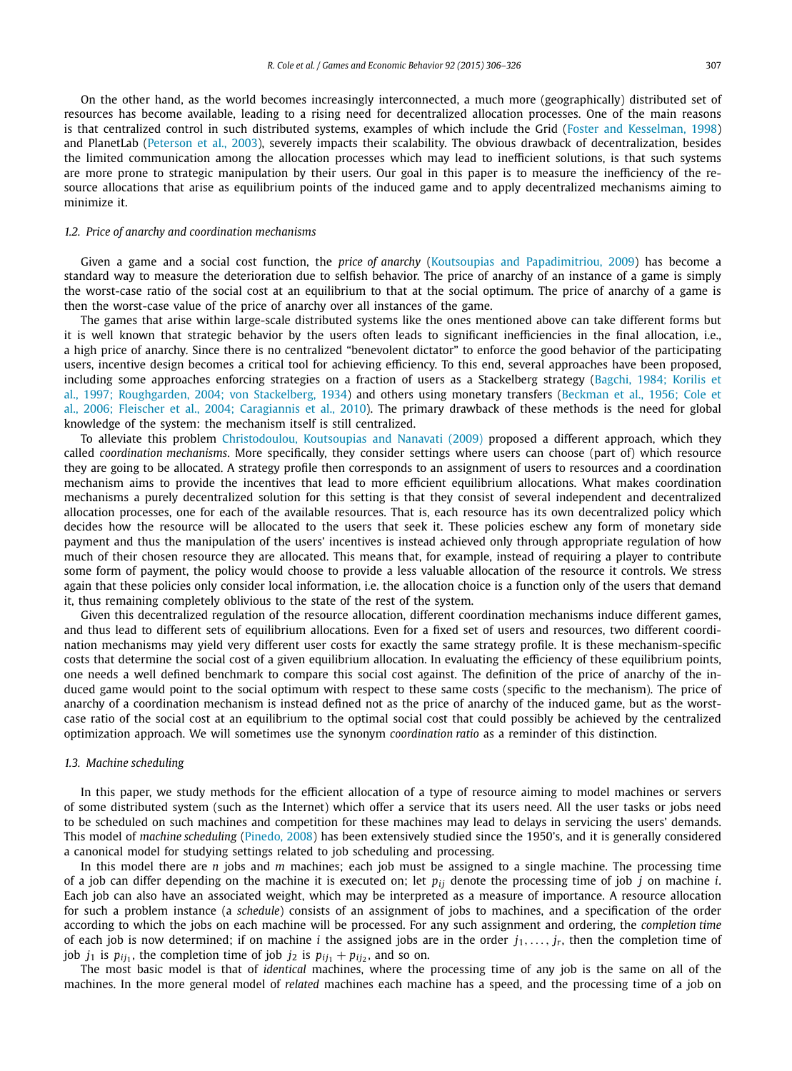On the other hand, as the world becomes increasingly interconnected, a much more (geographically) distributed set of resources has become available, leading to a rising need for decentralized allocation processes. One of the main reasons is that centralized control in such distributed systems, examples of which include the Grid [\(Foster and Kesselman, 1998\)](#page-19-0) and PlanetLab [\(Peterson et al., 2003\)](#page-20-0), severely impacts their scalability. The obvious drawback of decentralization, besides the limited communication among the allocation processes which may lead to inefficient solutions, is that such systems are more prone to strategic manipulation by their users. Our goal in this paper is to measure the inefficiency of the resource allocations that arise as equilibrium points of the induced game and to apply decentralized mechanisms aiming to minimize it.

#### *1.2. Price of anarchy and coordination mechanisms*

Given a game and a social cost function, the *price of anarchy* [\(Koutsoupias and Papadimitriou, 2009\)](#page-20-0) has become a standard way to measure the deterioration due to selfish behavior. The price of anarchy of an instance of a game is simply the worst-case ratio of the social cost at an equilibrium to that at the social optimum. The price of anarchy of a game is then the worst-case value of the price of anarchy over all instances of the game.

The games that arise within large-scale distributed systems like the ones mentioned above can take different forms but it is well known that strategic behavior by the users often leads to significant inefficiencies in the final allocation, i.e., a high price of anarchy. Since there is no centralized "benevolent dictator" to enforce the good behavior of the participating users, incentive design becomes a critical tool for achieving efficiency. To this end, several approaches have been proposed, including some approaches enforcing strategies on a fraction of users as a Stackelberg strategy [\(Bagchi, 1984; Korilis et](#page-19-0) [al., 1997; Roughgarden, 2004; von Stackelberg, 1934\)](#page-19-0) and others using monetary transfers [\(Beckman et al., 1956; Cole et](#page-19-0) [al., 2006; Fleischer et al., 2004; Caragiannis et al., 2010\)](#page-19-0). The primary drawback of these methods is the need for global knowledge of the system: the mechanism itself is still centralized.

To alleviate this problem [Christodoulou, Koutsoupias and Nanavati \(2009\)](#page-19-0) proposed a different approach, which they called *coordination mechanisms*. More specifically, they consider settings where users can choose (part of) which resource they are going to be allocated. A strategy profile then corresponds to an assignment of users to resources and a coordination mechanism aims to provide the incentives that lead to more efficient equilibrium allocations. What makes coordination mechanisms a purely decentralized solution for this setting is that they consist of several independent and decentralized allocation processes, one for each of the available resources. That is, each resource has its own decentralized policy which decides how the resource will be allocated to the users that seek it. These policies eschew any form of monetary side payment and thus the manipulation of the users' incentives is instead achieved only through appropriate regulation of how much of their chosen resource they are allocated. This means that, for example, instead of requiring a player to contribute some form of payment, the policy would choose to provide a less valuable allocation of the resource it controls. We stress again that these policies only consider local information, i.e. the allocation choice is a function only of the users that demand it, thus remaining completely oblivious to the state of the rest of the system.

Given this decentralized regulation of the resource allocation, different coordination mechanisms induce different games, and thus lead to different sets of equilibrium allocations. Even for a fixed set of users and resources, two different coordination mechanisms may yield very different user costs for exactly the same strategy profile. It is these mechanism-specific costs that determine the social cost of a given equilibrium allocation. In evaluating the efficiency of these equilibrium points, one needs a well defined benchmark to compare this social cost against. The definition of the price of anarchy of the induced game would point to the social optimum with respect to these same costs (specific to the mechanism). The price of anarchy of a coordination mechanism is instead defined not as the price of anarchy of the induced game, but as the worstcase ratio of the social cost at an equilibrium to the optimal social cost that could possibly be achieved by the centralized optimization approach. We will sometimes use the synonym *coordination ratio* as a reminder of this distinction.

## *1.3. Machine scheduling*

In this paper, we study methods for the efficient allocation of a type of resource aiming to model machines or servers of some distributed system (such as the Internet) which offer a service that its users need. All the user tasks or jobs need to be scheduled on such machines and competition for these machines may lead to delays in servicing the users' demands. This model of *machine scheduling* [\(Pinedo, 2008\)](#page-20-0) has been extensively studied since the 1950's, and it is generally considered a canonical model for studying settings related to job scheduling and processing.

In this model there are *n* jobs and *m* machines; each job must be assigned to a single machine. The processing time of a job can differ depending on the machine it is executed on; let *pij* denote the processing time of job *j* on machine *i*. Each job can also have an associated weight, which may be interpreted as a measure of importance. A resource allocation for such a problem instance (a *schedule*) consists of an assignment of jobs to machines, and a specification of the order according to which the jobs on each machine will be processed. For any such assignment and ordering, the *completion time* of each job is now determined; if on machine *i* the assigned jobs are in the order  $j_1, \ldots, j_r$ , then the completion time of job  $j_1$  is  $p_{ij_1}$ , the completion time of job  $j_2$  is  $p_{ij_1} + p_{ij_2}$ , and so on.

The most basic model is that of *identical* machines, where the processing time of any job is the same on all of the machines. In the more general model of *related* machines each machine has a speed, and the processing time of a job on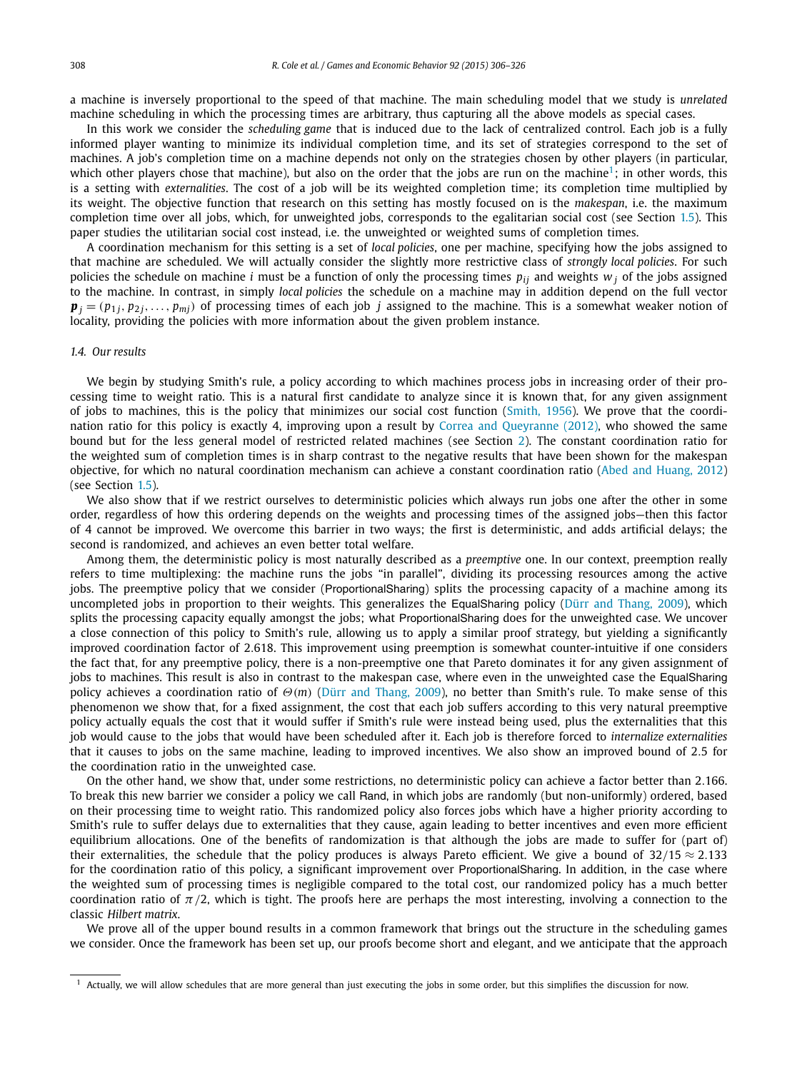a machine is inversely proportional to the speed of that machine. The main scheduling model that we study is *unrelated* machine scheduling in which the processing times are arbitrary, thus capturing all the above models as special cases.

In this work we consider the *scheduling game* that is induced due to the lack of centralized control. Each job is a fully informed player wanting to minimize its individual completion time, and its set of strategies correspond to the set of machines. A job's completion time on a machine depends not only on the strategies chosen by other players (in particular, which other players chose that machine), but also on the order that the jobs are run on the machine<sup>1</sup>; in other words, this is a setting with *externalities*. The cost of a job will be its weighted completion time; its completion time multiplied by its weight. The objective function that research on this setting has mostly focused on is the *makespan*, i.e. the maximum completion time over all jobs, which, for unweighted jobs, corresponds to the egalitarian social cost (see Section [1.5](#page-3-0)). This paper studies the utilitarian social cost instead, i.e. the unweighted or weighted sums of completion times.

A coordination mechanism for this setting is a set of *local policies*, one per machine, specifying how the jobs assigned to that machine are scheduled. We will actually consider the slightly more restrictive class of *strongly local policies*. For such policies the schedule on machine *i* must be a function of only the processing times  $p_{ij}$  and weights  $w_j$  of the jobs assigned to the machine. In contrast, in simply *local policies* the schedule on a machine may in addition depend on the full vector  $\mathbf{p}_i = (p_{1i}, p_{2i}, \ldots, p_{mi})$  of processing times of each job *j* assigned to the machine. This is a somewhat weaker notion of locality, providing the policies with more information about the given problem instance.

#### *1.4. Our results*

We begin by studying Smith's rule, a policy according to which machines process jobs in increasing order of their processing time to weight ratio. This is a natural first candidate to analyze since it is known that, for any given assignment of jobs to machines, this is the policy that minimizes our social cost function [\(Smith, 1956\)](#page-20-0). We prove that the coordination ratio for this policy is exactly 4, improving upon a result by [Correa and Queyranne \(2012\),](#page-19-0) who showed the same bound but for the less general model of restricted related machines (see Section [2\)](#page-4-0). The constant coordination ratio for the weighted sum of completion times is in sharp contrast to the negative results that have been shown for the makespan objective, for which no natural coordination mechanism can achieve a constant coordination ratio [\(Abed and Huang, 2012\)](#page-19-0) (see Section [1.5\)](#page-3-0).

We also show that if we restrict ourselves to deterministic policies which always run jobs one after the other in some order, regardless of how this ordering depends on the weights and processing times of the assigned jobs—then this factor of 4 cannot be improved. We overcome this barrier in two ways; the first is deterministic, and adds artificial delays; the second is randomized, and achieves an even better total welfare.

Among them, the deterministic policy is most naturally described as a *preemptive* one. In our context, preemption really refers to time multiplexing: the machine runs the jobs "in parallel", dividing its processing resources among the active jobs. The preemptive policy that we consider (ProportionalSharing) splits the processing capacity of a machine among its uncompleted jobs in proportion to their weights. This generalizes the EqualSharing policy [\(Dürr and Thang, 2009\)](#page-19-0), which splits the processing capacity equally amongst the jobs; what ProportionalSharing does for the unweighted case. We uncover a close connection of this policy to Smith's rule, allowing us to apply a similar proof strategy, but yielding a significantly improved coordination factor of 2*.*618. This improvement using preemption is somewhat counter-intuitive if one considers the fact that, for any preemptive policy, there is a non-preemptive one that Pareto dominates it for any given assignment of jobs to machines. This result is also in contrast to the makespan case, where even in the unweighted case the EqualSharing policy achieves a coordination ratio of *Θ(m)* [\(Dürr and Thang, 2009\)](#page-19-0), no better than Smith's rule. To make sense of this phenomenon we show that, for a fixed assignment, the cost that each job suffers according to this very natural preemptive policy actually equals the cost that it would suffer if Smith's rule were instead being used, plus the externalities that this job would cause to the jobs that would have been scheduled after it. Each job is therefore forced to *internalize externalities* that it causes to jobs on the same machine, leading to improved incentives. We also show an improved bound of 2*.*5 for the coordination ratio in the unweighted case.

On the other hand, we show that, under some restrictions, no deterministic policy can achieve a factor better than 2*.*166. To break this new barrier we consider a policy we call Rand, in which jobs are randomly (but non-uniformly) ordered, based on their processing time to weight ratio. This randomized policy also forces jobs which have a higher priority according to Smith's rule to suffer delays due to externalities that they cause, again leading to better incentives and even more efficient equilibrium allocations. One of the benefits of randomization is that although the jobs are made to suffer for (part of) their externalities, the schedule that the policy produces is always Pareto efficient. We give a bound of 32*/*15 ≈ 2*.*133 for the coordination ratio of this policy, a significant improvement over ProportionalSharing. In addition, in the case where the weighted sum of processing times is negligible compared to the total cost, our randomized policy has a much better coordination ratio of  $\pi/2$ , which is tight. The proofs here are perhaps the most interesting, involving a connection to the classic *Hilbert matrix*.

We prove all of the upper bound results in a common framework that brings out the structure in the scheduling games we consider. Once the framework has been set up, our proofs become short and elegant, and we anticipate that the approach

 $1$  Actually, we will allow schedules that are more general than just executing the jobs in some order, but this simplifies the discussion for now.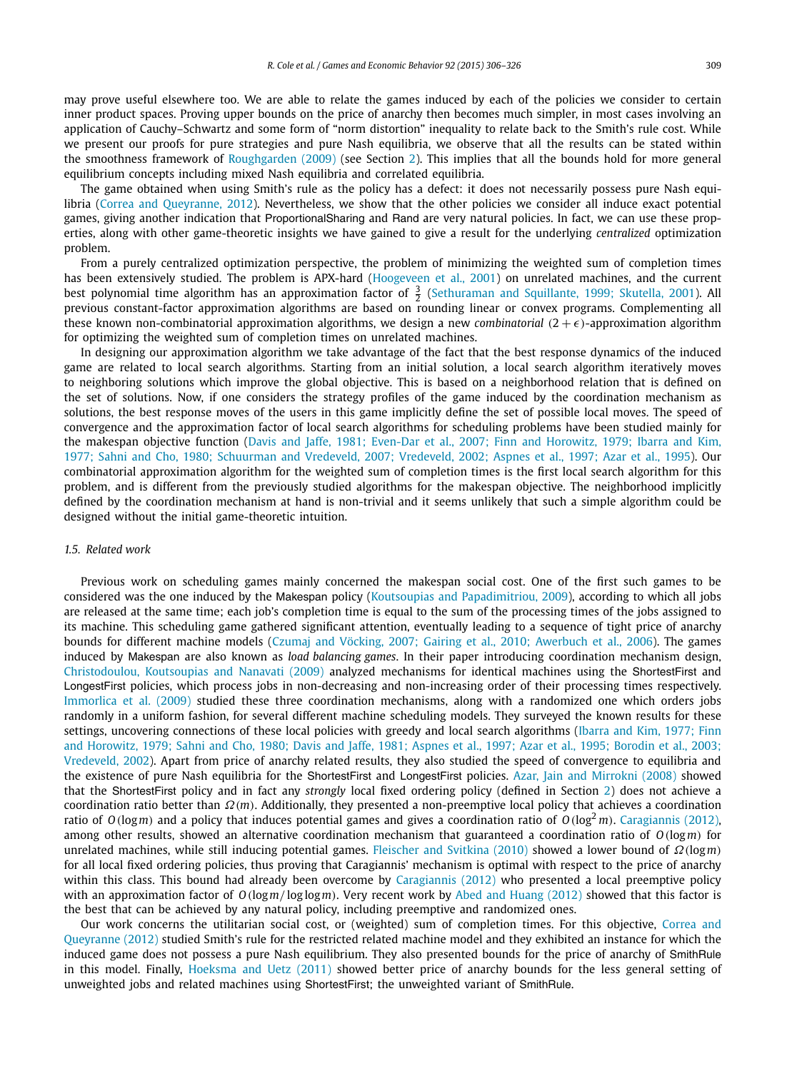<span id="page-3-0"></span>may prove useful elsewhere too. We are able to relate the games induced by each of the policies we consider to certain inner product spaces. Proving upper bounds on the price of anarchy then becomes much simpler, in most cases involving an application of Cauchy–Schwartz and some form of "norm distortion" inequality to relate back to the Smith's rule cost. While we present our proofs for pure strategies and pure Nash equilibria, we observe that all the results can be stated within the smoothness framework of [Roughgarden \(2009\)](#page-20-0) (see Section [2\)](#page-4-0). This implies that all the bounds hold for more general

equilibrium concepts including mixed Nash equilibria and correlated equilibria. The game obtained when using Smith's rule as the policy has a defect: it does not necessarily possess pure Nash equilibria [\(Correa and Queyranne, 2012\)](#page-19-0). Nevertheless, we show that the other policies we consider all induce exact potential games, giving another indication that ProportionalSharing and Rand are very natural policies. In fact, we can use these properties, along with other game-theoretic insights we have gained to give a result for the underlying *centralized* optimization problem.

From a purely centralized optimization perspective, the problem of minimizing the weighted sum of completion times has been extensively studied. The problem is APX-hard [\(Hoogeveen et al., 2001\)](#page-19-0) on unrelated machines, and the current best polynomial time algorithm has an approximation factor of  $\frac{3}{2}$  [\(Sethuraman and Squillante, 1999; Skutella, 2001\)](#page-20-0). All previous constant-factor approximation algorithms are based on rounding linear or convex programs. Complementing all these known non-combinatorial approximation algorithms, we design a new *combinatorial*  $(2 + \epsilon)$ -approximation algorithm for optimizing the weighted sum of completion times on unrelated machines.

In designing our approximation algorithm we take advantage of the fact that the best response dynamics of the induced game are related to local search algorithms. Starting from an initial solution, a local search algorithm iteratively moves to neighboring solutions which improve the global objective. This is based on a neighborhood relation that is defined on the set of solutions. Now, if one considers the strategy profiles of the game induced by the coordination mechanism as solutions, the best response moves of the users in this game implicitly define the set of possible local moves. The speed of convergence and the approximation factor of local search algorithms for scheduling problems have been studied mainly for the makespan objective function [\(Davis and Jaffe, 1981; Even-Dar et al., 2007; Finn and Horowitz, 1979; Ibarra and Kim,](#page-19-0) [1977; Sahni and Cho, 1980; Schuurman and Vredeveld, 2007; Vredeveld, 2002; Aspnes et al., 1997; Azar et al., 1995\)](#page-19-0). Our combinatorial approximation algorithm for the weighted sum of completion times is the first local search algorithm for this problem, and is different from the previously studied algorithms for the makespan objective. The neighborhood implicitly defined by the coordination mechanism at hand is non-trivial and it seems unlikely that such a simple algorithm could be designed without the initial game-theoretic intuition.

#### *1.5. Related work*

Previous work on scheduling games mainly concerned the makespan social cost. One of the first such games to be considered was the one induced by the Makespan policy [\(Koutsoupias and Papadimitriou, 2009\)](#page-20-0), according to which all jobs are released at the same time; each job's completion time is equal to the sum of the processing times of the jobs assigned to its machine. This scheduling game gathered significant attention, eventually leading to a sequence of tight price of anarchy bounds for different machine models [\(Czumaj and Vöcking, 2007; Gairing et al., 2010; Awerbuch et al., 2006\)](#page-19-0). The games induced by Makespan are also known as *load balancing games*. In their paper introducing coordination mechanism design, [Christodoulou, Koutsoupias and Nanavati \(2009\)](#page-19-0) analyzed mechanisms for identical machines using the ShortestFirst and LongestFirst policies, which process jobs in non-decreasing and non-increasing order of their processing times respectively. [Immorlica et al. \(2009\)](#page-19-0) studied these three coordination mechanisms, along with a randomized one which orders jobs randomly in a uniform fashion, for several different machine scheduling models. They surveyed the known results for these settings, uncovering connections of these local policies with greedy and local search algorithms [\(Ibarra and Kim, 1977; Finn](#page-19-0) [and Horowitz, 1979; Sahni and Cho, 1980; Davis and Jaffe, 1981; Aspnes et al., 1997; Azar et al., 1995; Borodin et al., 2003;](#page-19-0) [Vredeveld, 2002\)](#page-19-0). Apart from price of anarchy related results, they also studied the speed of convergence to equilibria and the existence of pure Nash equilibria for the ShortestFirst and LongestFirst policies. [Azar, Jain and Mirrokni \(2008\)](#page-19-0) showed that the ShortestFirst policy and in fact any *strongly* local fixed ordering policy (defined in Section [2\)](#page-4-0) does not achieve a coordination ratio better than *Ω(m)*. Additionally, they presented a non-preemptive local policy that achieves a coordination ratio of  $O(\log m)$  and a policy that induces potential games and gives a coordination ratio of  $O(\log^2 m)$ . [Caragiannis \(2012\),](#page-19-0) among other results, showed an alternative coordination mechanism that guaranteed a coordination ratio of *O(*log*m)* for unrelated machines, while still inducing potential games. [Fleischer and Svitkina \(2010\)](#page-19-0) showed a lower bound of *Ω(*log*m)* for all local fixed ordering policies, thus proving that Caragiannis' mechanism is optimal with respect to the price of anarchy within this class. This bound had already been overcome by [Caragiannis \(2012\)](#page-19-0) who presented a local preemptive policy with an approximation factor of  $O(logm/logm)$ . Very recent work by [Abed and Huang \(2012\)](#page-19-0) showed that this factor is the best that can be achieved by any natural policy, including preemptive and randomized ones.

Our work concerns the utilitarian social cost, or (weighted) sum of completion times. For this objective, [Correa and](#page-19-0) [Queyranne \(2012\)](#page-19-0) studied Smith's rule for the restricted related machine model and they exhibited an instance for which the induced game does not possess a pure Nash equilibrium. They also presented bounds for the price of anarchy of SmithRule in this model. Finally, [Hoeksma and Uetz \(2011\)](#page-19-0) showed better price of anarchy bounds for the less general setting of unweighted jobs and related machines using ShortestFirst; the unweighted variant of SmithRule.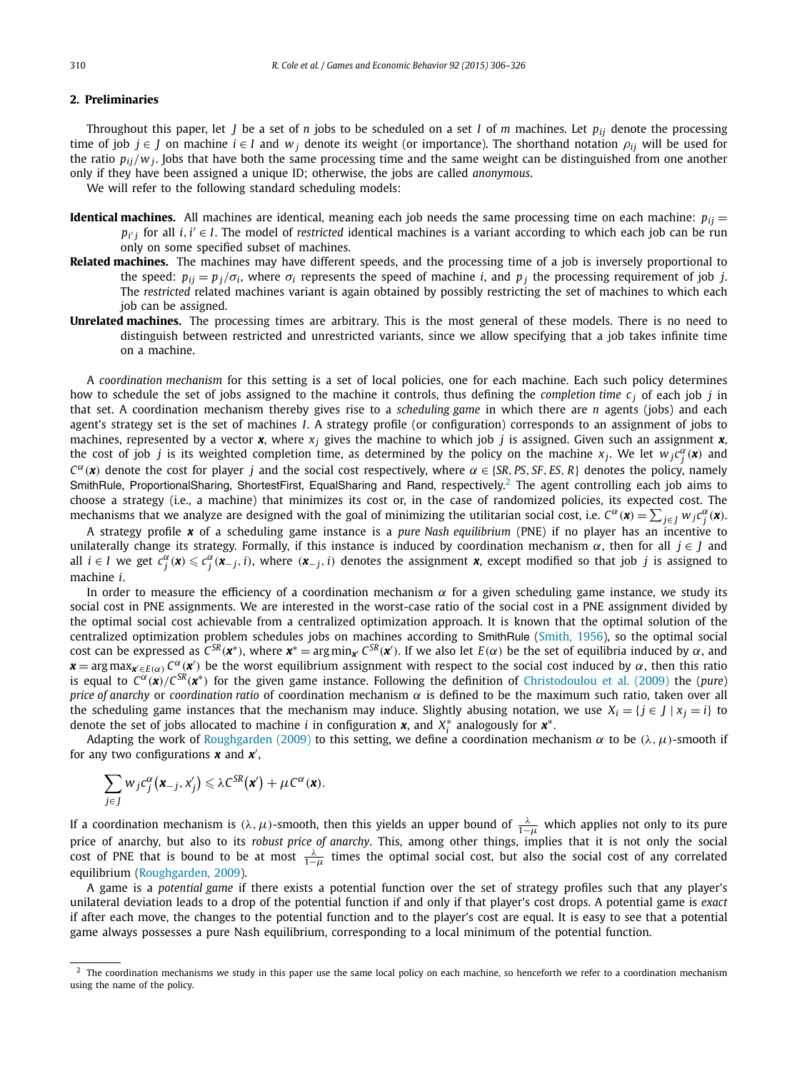### <span id="page-4-0"></span>**2. Preliminaries**

Throughout this paper, let *J* be a set of *n* jobs to be scheduled on a set *I* of *m* machines. Let  $p_{ij}$  denote the processing time of job  $j \in J$  on machine  $i \in I$  and  $w_j$  denote its weight (or importance). The shorthand notation  $\rho_{ij}$  will be used for the ratio  $p_{ij}/w_j$ . Jobs that have both the same processing time and the same weight can be distinguished from one another only if they have been assigned a unique ID; otherwise, the jobs are called *anonymous*.

We will refer to the following standard scheduling models:

- **Identical machines.** All machines are identical, meaning each job needs the same processing time on each machine:  $p_{ij} =$  $p_{i'j}$  for all *i*, *i'*  $\in$  *I*. The model of *restricted* identical machines is a variant according to which each job can be run only on some specified subset of machines.
- **Related machines.** The machines may have different speeds, and the processing time of a job is inversely proportional to the speed:  $p_{ij} = p_j / \sigma_j$ , where  $\sigma_j$  represents the speed of machine *i*, and  $p_j$  the processing requirement of job *j*. The *restricted* related machines variant is again obtained by possibly restricting the set of machines to which each job can be assigned.
- **Unrelated machines.** The processing times are arbitrary. This is the most general of these models. There is no need to distinguish between restricted and unrestricted variants, since we allow specifying that a job takes infinite time on a machine.

A *coordination mechanism* for this setting is a set of local policies, one for each machine. Each such policy determines how to schedule the set of jobs assigned to the machine it controls, thus defining the *completion time*  $c_i$  of each job *j* in that set. A coordination mechanism thereby gives rise to a *scheduling game* in which there are *n* agents (jobs) and each agent's strategy set is the set of machines *I*. A strategy profile (or configuration) corresponds to an assignment of jobs to machines, represented by a vector  $x$ , where  $x_j$  gives the machine to which job *j* is assigned. Given such an assignment  $x$ , the cost of job *j* is its weighted completion time, as determined by the policy on the machine  $x_j$ . We let  $w_j c_j^{\alpha}$   $(x)$  and  $C^{\alpha}(\mathbf{x})$  denote the cost for player j and the social cost respectively, where  $\alpha \in \{SR, PS, SF, ES, R\}$  denotes the policy, namely SmithRule, ProportionalSharing, ShortestFirst, EqualSharing and Rand, respectively.<sup>2</sup> The agent controlling each job aims to choose a strategy (i.e., a machine) that minimizes its cost or, in the case of randomized policies, its expected cost. The mechanisms that we analyze are designed with the goal of minimizing the utilitarian social cost, i.e.  $C^{\alpha}(x) = \sum_{j \in J} w_j c_j^{\alpha}(x)$ .

A strategy profile *x* of a scheduling game instance is a *pure Nash equilibrium* (PNE) if no player has an incentive to unilaterally change its strategy. Formally, if this instance is induced by coordination mechanism *α*, then for all *j* ∈ *J* and all  $i \in I$  we get  $c_j^{\alpha}(\mathbf{x}) \leq c_j^{\alpha}(\mathbf{x}_{-j}, i)$ , where  $(\mathbf{x}_{-j}, i)$  denotes the assignment  $\mathbf{x}$ , except modified so that job j is assigned to machine *i*.

In order to measure the efficiency of a coordination mechanism *α* for a given scheduling game instance, we study its social cost in PNE assignments. We are interested in the worst-case ratio of the social cost in a PNE assignment divided by the optimal social cost achievable from a centralized optimization approach. It is known that the optimal solution of the centralized optimization problem schedules jobs on machines according to SmithRule [\(Smith, 1956\)](#page-20-0), so the optimal social cost can be expressed as  $C^{SR}(\bm{x}^*)$ , where  $\bm{x}^* = \arg\min_{\bm{x}'} C^{SR}(\bm{x}')$ . If we also let  $E(\alpha)$  be the set of equilibria induced by  $\alpha$ , and  $x = \arg \max_{x' \in E(\alpha)} C^{\alpha}(x')$  be the worst equilibrium assignment with respect to the social cost induced by  $\alpha$ , then this ratio is equal to  $C^{\alpha}(x)/C^{SR}(x^*)$  for the given game instance. Following the definition of [Christodoulou et al. \(2009\)](#page-19-0) the (*pure*) *price of anarchy* or *coordination ratio* of coordination mechanism *α* is defined to be the maximum such ratio, taken over all the scheduling game instances that the mechanism may induce. Slightly abusing notation, we use  $X_i = \{j \in J \mid x_i = i\}$  to denote the set of jobs allocated to machine *i* in configuration  $x$ , and  $X_i^*$  analogously for  $x^*$ .

Adapting the work of [Roughgarden \(2009\)](#page-20-0) to this setting, we define a coordination mechanism  $\alpha$  to be  $(\lambda, \mu)$ -smooth if for any two configurations *x* and *x* ,

$$
\sum_{j\in J} w_j c_j^{\alpha}(\mathbf{x}_{-j},x'_j) \leq \lambda C^{SR}(\mathbf{x}') + \mu C^{\alpha}(\mathbf{x}).
$$

If a coordination mechanism is  $(\lambda, \mu)$ -smooth, then this yields an upper bound of  $\frac{\lambda}{1-\mu}$  which applies not only to its pure price of anarchy, but also to its *robust price of anarchy*. This, among other things, implies that it is not only the social cost of PNE that is bound to be at most  $\frac{\lambda}{1-\mu}$  times the optimal social cost, but also the social cost of any correlated equilibrium [\(Roughgarden, 2009\)](#page-20-0).

A game is a *potential game* if there exists a potential function over the set of strategy profiles such that any player's unilateral deviation leads to a drop of the potential function if and only if that player's cost drops. A potential game is *exact* if after each move, the changes to the potential function and to the player's cost are equal. It is easy to see that a potential game always possesses a pure Nash equilibrium, corresponding to a local minimum of the potential function.

 $2$  The coordination mechanisms we study in this paper use the same local policy on each machine, so henceforth we refer to a coordination mechanism using the name of the policy.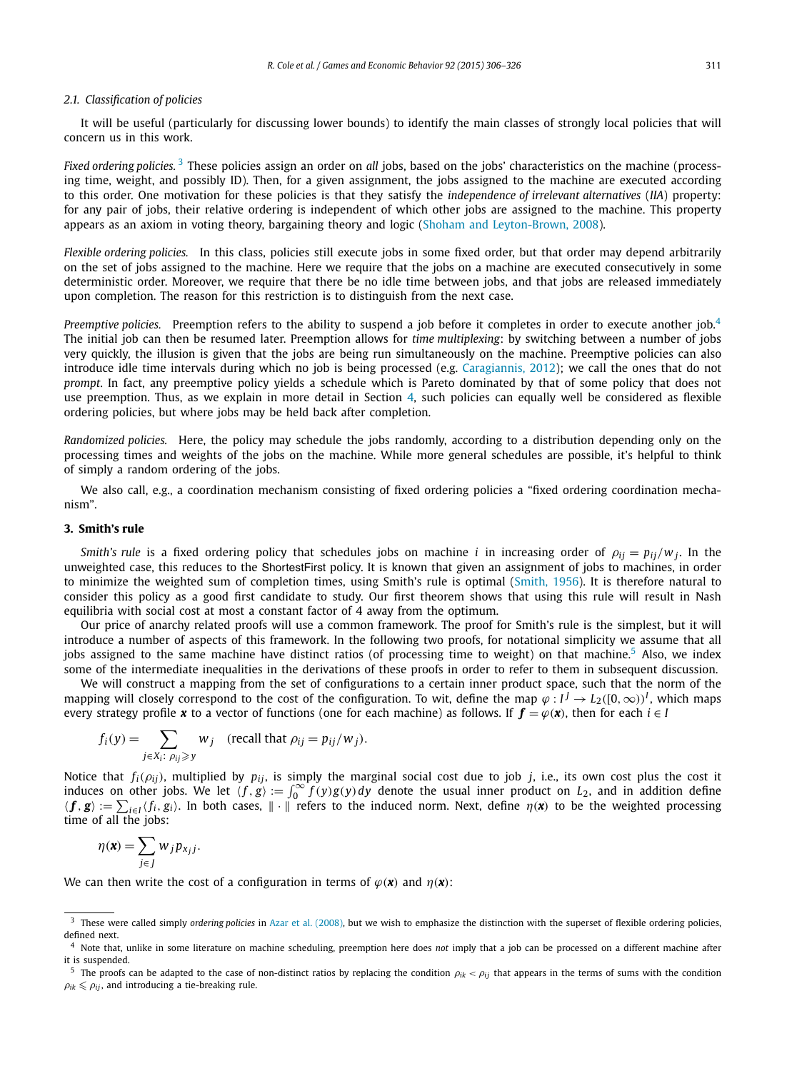## *2.1. Classification of policies*

It will be useful (particularly for discussing lower bounds) to identify the main classes of strongly local policies that will concern us in this work.

*Fixed ordering policies.* <sup>3</sup> These policies assign an order on *all* jobs, based on the jobs' characteristics on the machine (processing time, weight, and possibly ID). Then, for a given assignment, the jobs assigned to the machine are executed according to this order. One motivation for these policies is that they satisfy the *independence of irrelevant alternatives* (*IIA*) property: for any pair of jobs, their relative ordering is independent of which other jobs are assigned to the machine. This property appears as an axiom in voting theory, bargaining theory and logic [\(Shoham and Leyton-Brown, 2008\)](#page-20-0).

*Flexible ordering policies.* In this class, policies still execute jobs in some fixed order, but that order may depend arbitrarily on the set of jobs assigned to the machine. Here we require that the jobs on a machine are executed consecutively in some deterministic order. Moreover, we require that there be no idle time between jobs, and that jobs are released immediately upon completion. The reason for this restriction is to distinguish from the next case.

*Preemptive policies.* Preemption refers to the ability to suspend a job before it completes in order to execute another job.<sup>4</sup> The initial job can then be resumed later. Preemption allows for *time multiplexing*: by switching between a number of jobs very quickly, the illusion is given that the jobs are being run simultaneously on the machine. Preemptive policies can also introduce idle time intervals during which no job is being processed (e.g. [Caragiannis, 2012\)](#page-19-0); we call the ones that do not *prompt*. In fact, any preemptive policy yields a schedule which is Pareto dominated by that of some policy that does not use preemption. Thus, as we explain in more detail in Section [4,](#page-7-0) such policies can equally well be considered as flexible ordering policies, but where jobs may be held back after completion.

*Randomized policies.* Here, the policy may schedule the jobs randomly, according to a distribution depending only on the processing times and weights of the jobs on the machine. While more general schedules are possible, it's helpful to think of simply a random ordering of the jobs.

We also call, e.g., a coordination mechanism consisting of fixed ordering policies a "fixed ordering coordination mechanism".

# **3. Smith's rule**

*Smith's rule* is a fixed ordering policy that schedules jobs on machine *i* in increasing order of  $\rho_{ij} = p_{ij}/w_j$ . In the unweighted case, this reduces to the ShortestFirst policy. It is known that given an assignment of jobs to machines, in order to minimize the weighted sum of completion times, using Smith's rule is optimal [\(Smith, 1956\)](#page-20-0). It is therefore natural to consider this policy as a good first candidate to study. Our first theorem shows that using this rule will result in Nash equilibria with social cost at most a constant factor of 4 away from the optimum.

Our price of anarchy related proofs will use a common framework. The proof for Smith's rule is the simplest, but it will introduce a number of aspects of this framework. In the following two proofs, for notational simplicity we assume that all jobs assigned to the same machine have distinct ratios (of processing time to weight) on that machine.<sup>5</sup> Also, we index some of the intermediate inequalities in the derivations of these proofs in order to refer to them in subsequent discussion.

We will construct a mapping from the set of configurations to a certain inner product space, such that the norm of the mapping will closely correspond to the cost of the configuration. To wit, define the map  $\varphi: I^J \to L_2([0,\infty))^I$ , which maps every strategy profile x to a vector of functions (one for each machine) as follows. If  $f = \varphi(x)$ , then for each  $i \in I$ 

$$
f_i(y) = \sum_{j \in X_i: \ \rho_{ij} \geq y} w_j \quad \text{(recall that } \rho_{ij} = p_{ij}/w_j).
$$

Notice that  $f_i(\rho_{ij})$ , multiplied by  $p_{ij}$ , is simply the marginal social cost due to job *j*, i.e., its own cost plus the cost it induces on other jobs. We let  $\langle f, g \rangle := \int_0^\infty f(y)g(y) dy$  denote the usual inner product on *L*<sub>2</sub>, and in addition define  $\langle f, g \rangle := \sum_{i \in I} \langle f_i, g_i \rangle$ . In both cases,  $\| \cdot \|$  refers to the induced norm. Next, define  $\eta(x)$  to be the weighted processing time of all the jobs:

$$
\eta(\mathbf{x}) = \sum_{j \in J} w_j p_{x_j j}.
$$

We can then write the cost of a configuration in terms of  $\varphi(\mathbf{x})$  and  $\eta(\mathbf{x})$ :

<sup>&</sup>lt;sup>3</sup> These were called simply *ordering policies* in [Azar et al. \(2008\),](#page-19-0) but we wish to emphasize the distinction with the superset of flexible ordering policies, defined next.

<sup>4</sup> Note that, unlike in some literature on machine scheduling, preemption here does *not* imply that a job can be processed on a different machine after it is suspended.

<sup>&</sup>lt;sup>5</sup> The proofs can be adapted to the case of non-distinct ratios by replacing the condition  $\rho_{ik} < \rho_{ij}$  that appears in the terms of sums with the condition  $\rho_{ik} \leq \rho_{ij}$ , and introducing a tie-breaking rule.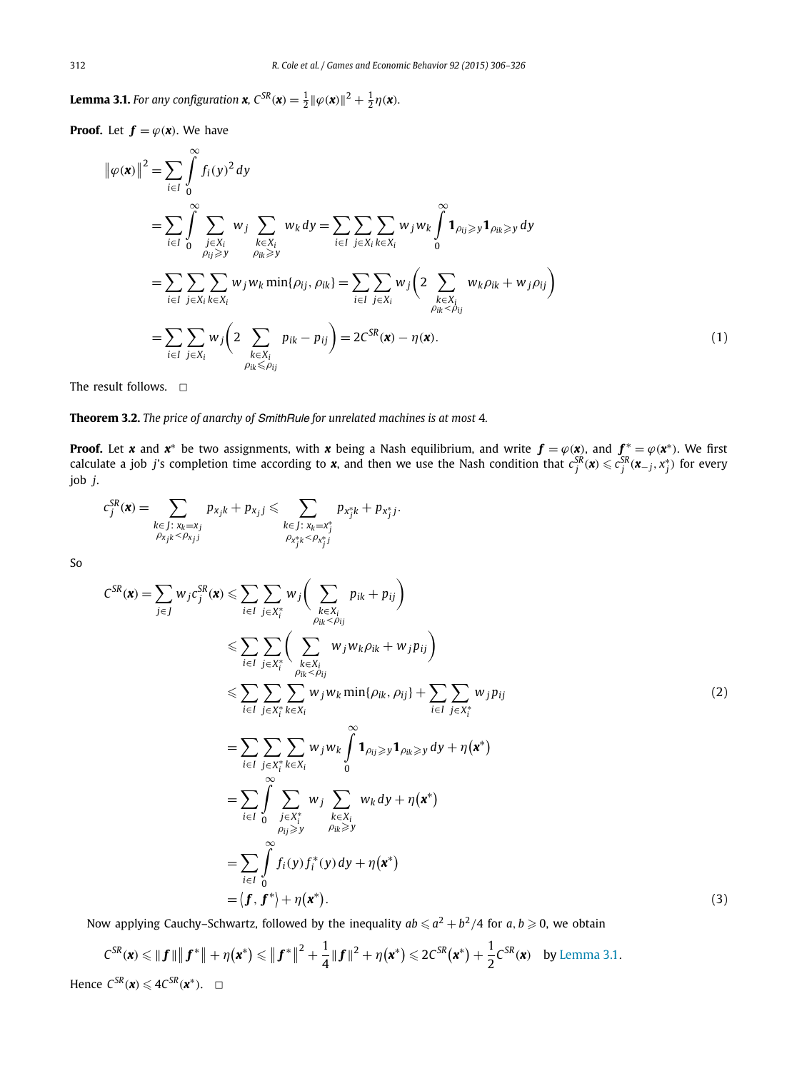<span id="page-6-0"></span>**Lemma 3.1.** *For any configuration x*,  $C^{SR}(\mathbf{x}) = \frac{1}{2} ||\varphi(\mathbf{x})||^2 + \frac{1}{2} \eta(\mathbf{x})$ *.* 

**Proof.** Let  $f = \varphi(\mathbf{x})$ . We have

$$
\|\varphi(\mathbf{x})\|^2 = \sum_{i \in I} \int_0^\infty f_i(y)^2 dy
$$
  
\n
$$
= \sum_{i \in I} \int_0^\infty \sum_{\substack{j \in X_i \\ \rho_{ij} \geq y}} w_j \sum_{\substack{k \in X_i \\ \rho_{ik} \geq y}} w_k dy = \sum_{i \in I} \sum_{j \in X_i} \sum_{k \in X_i} w_j w_k \int_0^\infty \mathbf{1}_{\rho_{ij} \geq y} \mathbf{1}_{\rho_{ik} \geq y} dy
$$
  
\n
$$
= \sum_{i \in I} \sum_{j \in X_i} \sum_{k \in X_i} w_j w_k \min\{\rho_{ij}, \rho_{ik}\} = \sum_{i \in I} \sum_{j \in X_i} w_j \left(2 \sum_{\substack{k \in X_i \\ \rho_{ik} < \rho_{ij}}} w_k \rho_{ik} + w_j \rho_{ij}\right)
$$
  
\n
$$
= \sum_{i \in I} \sum_{j \in X_i} w_j \left(2 \sum_{\substack{k \in X_i \\ \rho_{ik} \leq \rho_{ij}}} p_{ik} - p_{ij}\right) = 2C^{SR}(\mathbf{x}) - \eta(\mathbf{x}).
$$
\n(1)

The result follows.  $\Box$ 

# **Theorem 3.2.** *The price of anarchy of* SmithRule *for unrelated machines is at most* 4*.*

**Proof.** Let *x* and *x***<sup>\*</sup>** be two assignments, with *x* being a Nash equilibrium, and write  $f = \varphi(x)$ , and  $f^* = \varphi(x^*)$ . We first calculate a job j's completion time according to **x**, and then we use the Nash condition that  $c_j^{SR}$  (**x**)  $\leq c_j^{SR}$  (**x**<sub>-j</sub>,  $x_j^*$ ) for every job *j*.

$$
c_j^{SR}(\pmb{x}) = \sum_{\substack{k \in J: x_k = x_j \\ \rho_{x_{j}k} < \rho_{x_{j}j}}} p_{x_{j}k} + p_{x_{j}j} \leqslant \sum_{\substack{k \in J: x_k = x_j^* \\ \rho_{x_j^*k} < \rho_{x_{j}^*j}}} p_{x_j^*k} + p_{x_{j}^*j}.
$$

So

$$
C^{SR}(\mathbf{x}) = \sum_{j \in J} w_j c_j^{SR}(\mathbf{x}) \leqslant \sum_{i \in I} \sum_{j \in X_i^*} w_j \left( \sum_{\substack{k \in X_i \\ \rho_{ik} < \rho_{ij}}} p_{ik} + p_{ij} \right)
$$
\n
$$
\leqslant \sum_{i \in I} \sum_{j \in X_i^*} \left( \sum_{\substack{k \in X_i \\ \rho_{ik} < \rho_{ij}}} w_j w_k \rho_{ik} + w_j p_{ij} \right)
$$
\n
$$
\leqslant \sum_{i \in I} \sum_{j \in X_i^*} \sum_{k \in X_i} w_j w_k \min\{\rho_{ik}, \rho_{ij}\} + \sum_{i \in I} \sum_{j \in X_i^*} w_j p_{ij}
$$
\n
$$
= \sum_{i \in I} \sum_{j \in X_i^*} \sum_{k \in X_i} w_j w_k \int_0^{\infty} \mathbf{1}_{\rho_{ij} \geqslant y} \mathbf{1}_{\rho_{ik} \geqslant y} dy + \eta(\mathbf{x}^*)
$$
\n
$$
= \sum_{i \in I} \int_0^{\infty} \sum_{\substack{j \in X_i^* \\ \rho_{ij} \geqslant y}} w_j \sum_{\substack{k \in X_i \\ \rho_{ij} \geqslant y}} w_k dy + \eta(\mathbf{x}^*)
$$
\n
$$
= \sum_{i \in I} \int_0^{\infty} f_i(y) f_i^*(y) dy + \eta(\mathbf{x}^*)
$$
\n
$$
= \langle \mathbf{f}, \mathbf{f}^* \rangle + \eta(\mathbf{x}^*).
$$
\n(3)

Now applying Cauchy–Schwartz, followed by the inequality  $ab \leqslant a^2 + b^2/4$  for  $a,b \geqslant 0,$  we obtain

$$
C^{SR}(\mathbf{x}) \leqslant \|\mathbf{f}\| \|\mathbf{f}^*\| + \eta(\mathbf{x}^*) \leqslant \|\mathbf{f}^*\|^2 + \frac{1}{4} \|\mathbf{f}\|^2 + \eta(\mathbf{x}^*) \leqslant 2C^{SR}(\mathbf{x}^*) + \frac{1}{2}C^{SR}(\mathbf{x}) \quad \text{by Lemma 3.1.}
$$

Hence  $C^{SR}(\boldsymbol{x}) \leq 4C^{SR}(\boldsymbol{x}^*)$ .  $\Box$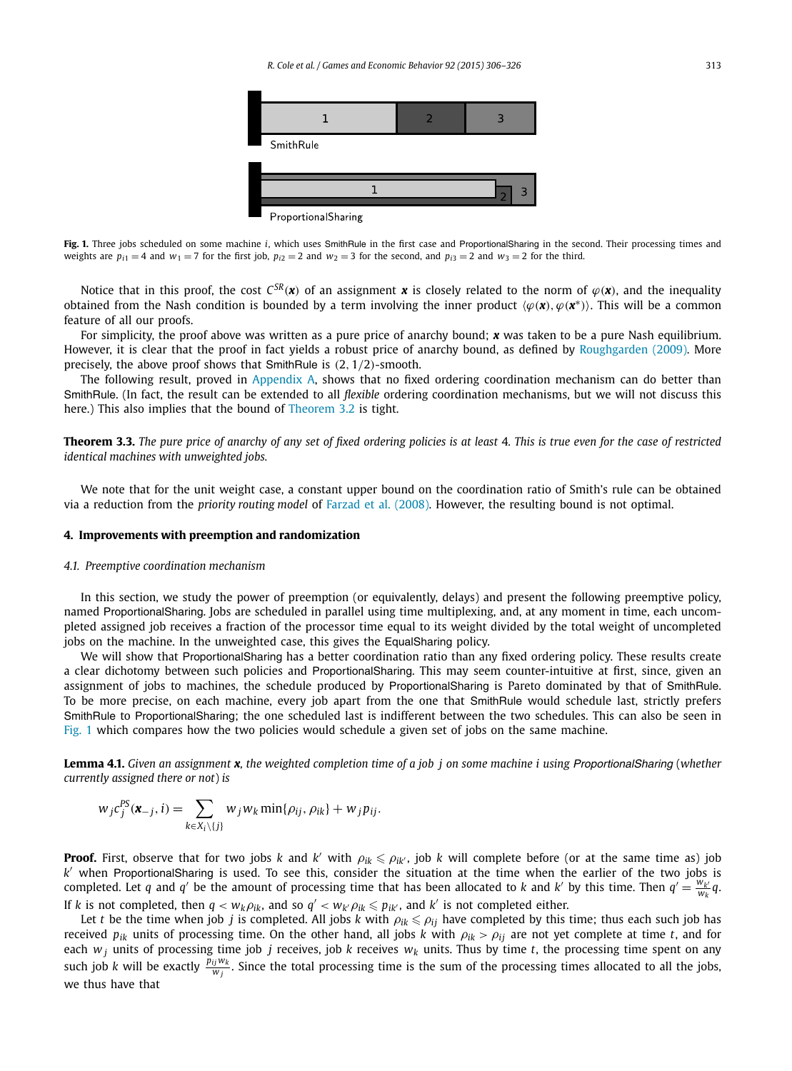

<span id="page-7-0"></span>**Fig. 1.** Three jobs scheduled on some machine *i*, which uses SmithRule in the first case and ProportionalSharing in the second. Their processing times and weights are  $p_{i1} = 4$  and  $w_1 = 7$  for the first job,  $p_{i2} = 2$  and  $w_2 = 3$  for the second, and  $p_{i3} = 2$  and  $w_3 = 2$  for the third.

Notice that in this proof, the cost  $C^{SR}(x)$  of an assignment *x* is closely related to the norm of  $\varphi(x)$ , and the inequality obtained from the Nash condition is bounded by a term involving the inner product  $\langle \varphi(\mathbf{x}), \varphi(\mathbf{x}^*) \rangle$ . This will be a common feature of all our proofs.

For simplicity, the proof above was written as a pure price of anarchy bound; *x* was taken to be a pure Nash equilibrium. However, it is clear that the proof in fact yields a robust price of anarchy bound, as defined by [Roughgarden \(2009\).](#page-20-0) More precisely, the above proof shows that SmithRule is *(*2*,* 1*/*2*)*-smooth.

The following result, proved in [Appendix](#page-17-0) A, shows that no fixed ordering coordination mechanism can do better than SmithRule. (In fact, the result can be extended to all *flexible* ordering coordination mechanisms, but we will not discuss this here.) This also implies that the bound of [Theorem 3.2](#page-6-0) is tight.

**Theorem 3.3.** *The pure price of anarchy of any set of fixed ordering policies is at least* 4*. This is true even for the case of restricted identical machines with unweighted jobs.*

We note that for the unit weight case, a constant upper bound on the coordination ratio of Smith's rule can be obtained via a reduction from the *priority routing model* of [Farzad et al. \(2008\).](#page-19-0) However, the resulting bound is not optimal.

#### **4. Improvements with preemption and randomization**

#### *4.1. Preemptive coordination mechanism*

In this section, we study the power of preemption (or equivalently, delays) and present the following preemptive policy, named ProportionalSharing. Jobs are scheduled in parallel using time multiplexing, and, at any moment in time, each uncompleted assigned job receives a fraction of the processor time equal to its weight divided by the total weight of uncompleted jobs on the machine. In the unweighted case, this gives the EqualSharing policy.

We will show that ProportionalSharing has a better coordination ratio than any fixed ordering policy. These results create a clear dichotomy between such policies and ProportionalSharing. This may seem counter-intuitive at first, since, given an assignment of jobs to machines, the schedule produced by ProportionalSharing is Pareto dominated by that of SmithRule. To be more precise, on each machine, every job apart from the one that SmithRule would schedule last, strictly prefers SmithRule to ProportionalSharing; the one scheduled last is indifferent between the two schedules. This can also be seen in Fig. 1 which compares how the two policies would schedule a given set of jobs on the same machine.

**Lemma 4.1.** *Given an assignment x, the weighted completion time of a job j on some machine i using* ProportionalSharing (*whether currently assigned there or not*) *is*

$$
w_j c_j^{PS}(\mathbf{x}_{-j}, i) = \sum_{k \in X_i \setminus \{j\}} w_j w_k \min\{\rho_{ij}, \rho_{ik}\} + w_j p_{ij}.
$$

**Proof.** First, observe that for two jobs *k* and *k'* with  $\rho_{ik} \leqslant \rho_{ik'}$ , job *k* will complete before (or at the same time as) job *k* when ProportionalSharing is used. To see this, consider the situation at the time when the earlier of the two jobs is completed. Let *q* and *q'* be the amount of processing time that has been allocated to *k* and *k'* by this time. Then  $q' = \frac{w_{k'}}{w_k}q$ . If *k* is not completed, then  $q < w_k \rho_{ik}$ , and so  $q' < w_{k'} \rho_{ik} \leqslant p_{ik'}$ , and  $k'$  is not completed either.

Let  $t$  be the time when job  $j$  is completed. All jobs  $k$  with  $\rho_{ik}\leqslant\rho_{ij}$  have completed by this time; thus each such job has received  $p_{ik}$  units of processing time. On the other hand, all jobs *k* with  $\rho_{ik} > \rho_{ij}$  are not yet complete at time *t*, and for each  $w_j$  units of processing time job *j* receives, job *k* receives  $w_k$  units. Thus by time *t*, the processing time spent on any such job *k* will be exactly  $\frac{p_{ij}w_k}{w_j}$ . Since the total processing time is the sum of the processing times allocated to all the jobs, we thus have that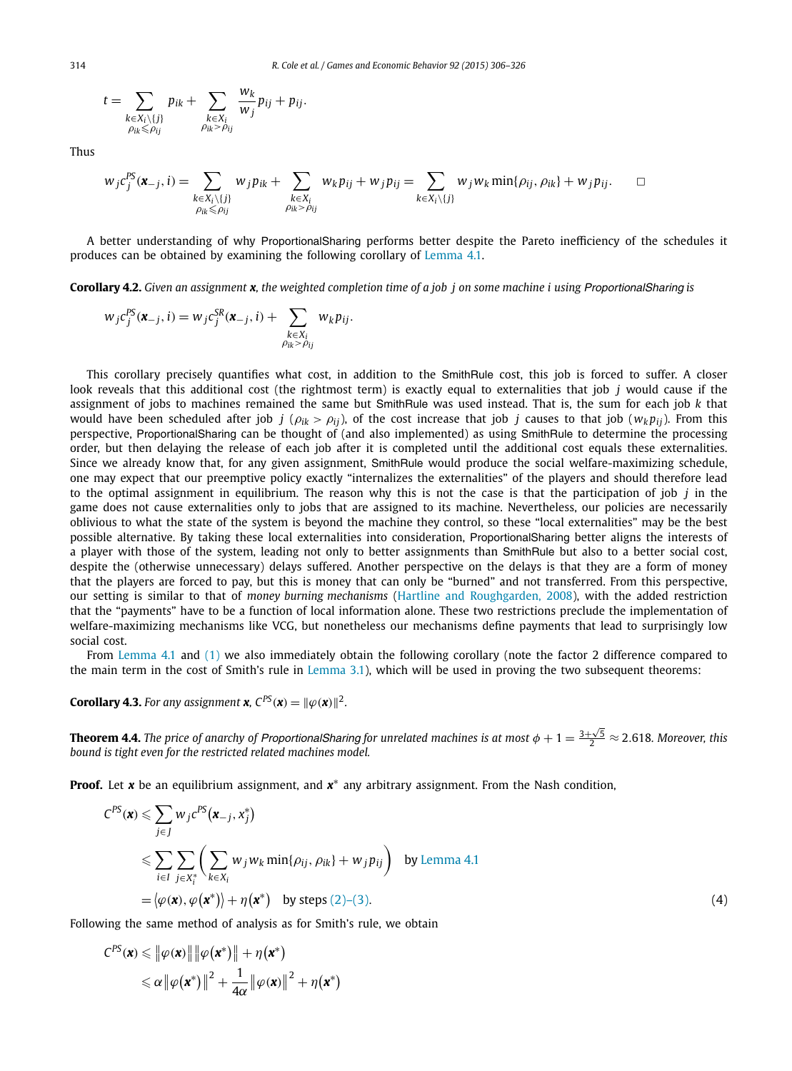$$
t = \sum_{\substack{k \in X_i \setminus \{j\} \\ \rho_{ik} \leq \rho_{ij}}} p_{ik} + \sum_{\substack{k \in X_i \\ \rho_{ik} > \rho_{ij}}} \frac{w_k}{w_j} p_{ij} + p_{ij}.
$$

Thus

$$
w_j c_j^{PS}(\boldsymbol{x}_{-j}, i) = \sum_{\substack{k \in X_i \setminus \{j\} \\ \rho_{ik} \leq \rho_{ij}}} w_j p_{ik} + \sum_{\substack{k \in X_i \\ \rho_{ik} > \rho_{ij}}} w_k p_{ij} + w_j p_{ij} = \sum_{k \in X_i \setminus \{j\}} w_j w_k \min\{\rho_{ij}, \rho_{ik}\} + w_j p_{ij}.
$$

A better understanding of why ProportionalSharing performs better despite the Pareto inefficiency of the schedules it produces can be obtained by examining the following corollary of [Lemma 4.1.](#page-7-0)

**Corollary 4.2.** *Given an assignment x, the weighted completion time of a job j on some machine i using* ProportionalSharing *is*

$$
w_j c_j^{PS}(\mathbf{x}_{-j}, i) = w_j c_j^{SR}(\mathbf{x}_{-j}, i) + \sum_{\substack{k \in X_i \\ \rho_{ik} > \rho_{ij}}} w_k p_{ij}.
$$

This corollary precisely quantifies what cost, in addition to the SmithRule cost, this job is forced to suffer. A closer look reveals that this additional cost (the rightmost term) is exactly equal to externalities that job *j* would cause if the assignment of jobs to machines remained the same but SmithRule was used instead. That is, the sum for each job *k* that would have been scheduled after job *j* ( $\rho_{ik} > \rho_{ij}$ ), of the cost increase that job *j* causes to that job ( $w_k p_{ij}$ ). From this perspective, ProportionalSharing can be thought of (and also implemented) as using SmithRule to determine the processing order, but then delaying the release of each job after it is completed until the additional cost equals these externalities. Since we already know that, for any given assignment, SmithRule would produce the social welfare-maximizing schedule, one may expect that our preemptive policy exactly "internalizes the externalities" of the players and should therefore lead to the optimal assignment in equilibrium. The reason why this is not the case is that the participation of job *j* in the game does not cause externalities only to jobs that are assigned to its machine. Nevertheless, our policies are necessarily oblivious to what the state of the system is beyond the machine they control, so these "local externalities" may be the best possible alternative. By taking these local externalities into consideration, ProportionalSharing better aligns the interests of a player with those of the system, leading not only to better assignments than SmithRule but also to a better social cost, despite the (otherwise unnecessary) delays suffered. Another perspective on the delays is that they are a form of money that the players are forced to pay, but this is money that can only be "burned" and not transferred. From this perspective, our setting is similar to that of *money burning mechanisms* [\(Hartline and Roughgarden, 2008\)](#page-19-0), with the added restriction that the "payments" have to be a function of local information alone. These two restrictions preclude the implementation of welfare-maximizing mechanisms like VCG, but nonetheless our mechanisms define payments that lead to surprisingly low social cost.

From [Lemma](#page-7-0) 4.1 and [\(1\)](#page-6-0) we also immediately obtain the following corollary (note the factor 2 difference compared to the main term in the cost of Smith's rule in [Lemma 3.1\)](#page-6-0), which will be used in proving the two subsequent theorems:

**Corollary 4.3.** For any assignment **x**,  $C^{PS}(\mathbf{x}) = ||\varphi(\mathbf{x})||^2$ .

**Theorem 4.4.** The price of anarchy of ProportionalSharing for unrelated machines is at most  $\phi + 1 = \frac{3+\sqrt{5}}{2} \approx 2.618$ . Moreover, this *bound is tight even for the restricted related machines model.*

**Proof.** Let *x* be an equilibrium assignment, and *x*<sup>∗</sup> any arbitrary assignment. From the Nash condition,

$$
C^{PS}(\mathbf{x}) \leq \sum_{j \in J} w_j c^{PS}(\mathbf{x}_{-j}, x_j^*)
$$
  
\n
$$
\leq \sum_{i \in I} \sum_{j \in X_i^*} \left( \sum_{k \in X_i} w_j w_k \min\{\rho_{ij}, \rho_{ik}\} + w_j p_{ij} \right) \text{ by Lemma 4.1}
$$
  
\n
$$
= \langle \varphi(\mathbf{x}), \varphi(\mathbf{x}^*) \rangle + \eta(\mathbf{x}^*) \text{ by steps (2)–(3).}
$$
 (4)

Following the same method of analysis as for Smith's rule, we obtain

$$
C^{PS}(\mathbf{x}) \leqslant \|\varphi(\mathbf{x})\| \|\varphi(\mathbf{x}^*)\| + \eta(\mathbf{x}^*)
$$
  

$$
\leqslant \alpha \|\varphi(\mathbf{x}^*)\|^2 + \frac{1}{4\alpha} \|\varphi(\mathbf{x})\|^2 + \eta(\mathbf{x}^*)
$$

<span id="page-8-0"></span>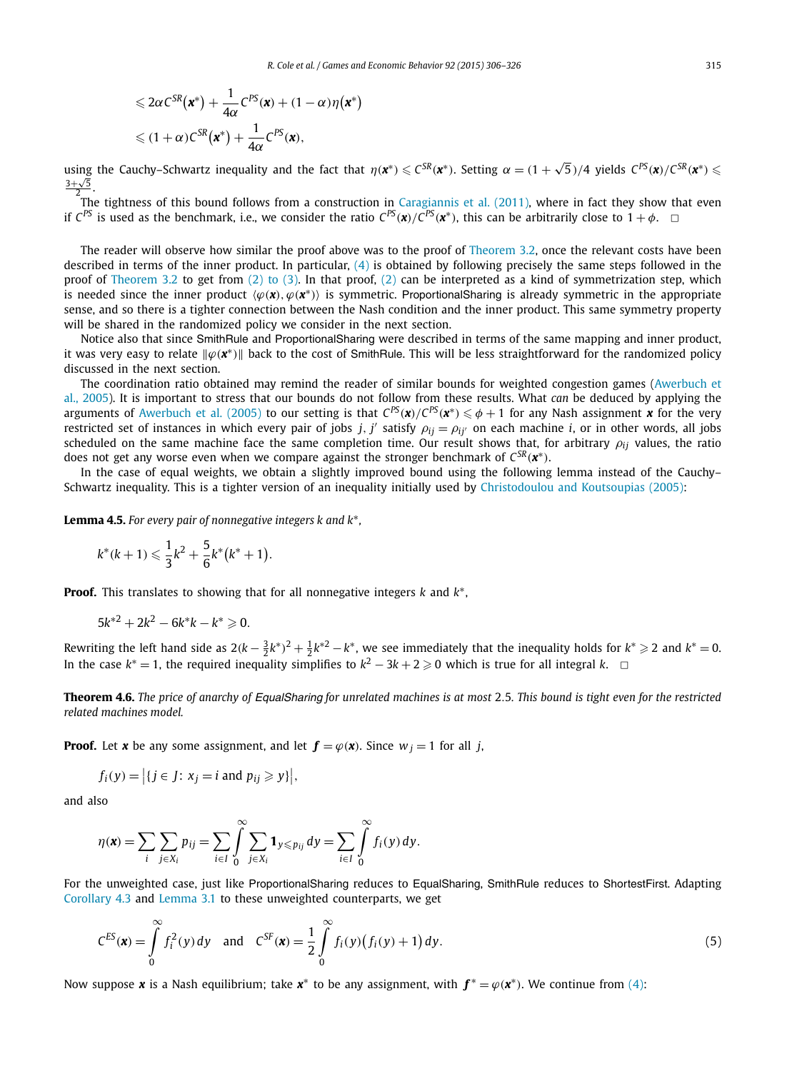<span id="page-9-0"></span>
$$
\leqslant 2\alpha C^{SR}(\boldsymbol{x}^*) + \frac{1}{4\alpha}C^{PS}(\boldsymbol{x}) + (1-\alpha)\eta(\boldsymbol{x}^*)
$$
  

$$
\leqslant (1+\alpha)C^{SR}(\boldsymbol{x}^*) + \frac{1}{4\alpha}C^{PS}(\boldsymbol{x}),
$$

using the Cauchy–Schwartz inequality and the fact that  $\eta(\bm{x}^*)\leqslant C^{SR}(\bm{x}^*)$ . Setting  $\alpha=(1+\sqrt{5})/4$  yields  $C^{PS}(\bm{x})/C^{SR}(\bm{x}^*)\leqslant C^{RS}(\bm{x}^*)$  $\frac{3+\sqrt{5}}{2}$ .

The tightness of this bound follows from a construction in [Caragiannis et al. \(2011\),](#page-19-0) where in fact they show that even if  $C^{PS}$  is used as the benchmark, i.e., we consider the ratio  $C^{PS}(\mathbf{x})/C^{PS}(\mathbf{x}^*)$ , this can be arbitrarily close to  $1 + \phi$ .

The reader will observe how similar the proof above was to the proof of [Theorem 3.2,](#page-6-0) once the relevant costs have been described in terms of the inner product. In particular, [\(4\)](#page-8-0) is obtained by following precisely the same steps followed in the proof of [Theorem 3.2](#page-6-0) to get from  $(2)$  to  $(3)$ . In that proof,  $(2)$  can be interpreted as a kind of symmetrization step, which is needed since the inner product  $\langle \varphi(\mathbf{x}), \varphi(\mathbf{x}^*) \rangle$  is symmetric. ProportionalSharing is already symmetric in the appropriate sense, and so there is a tighter connection between the Nash condition and the inner product. This same symmetry property will be shared in the randomized policy we consider in the next section.

Notice also that since SmithRule and ProportionalSharing were described in terms of the same mapping and inner product, it was very easy to relate  $\|\varphi(\bm{x}^*)\|$  back to the cost of SmithRule. This will be less straightforward for the randomized policy discussed in the next section.

The coordination ratio obtained may remind the reader of similar bounds for weighted congestion games [\(Awerbuch et](#page-19-0) [al., 2005\)](#page-19-0). It is important to stress that our bounds do not follow from these results. What *can* be deduced by applying the arguments of [Awerbuch et al. \(2005\)](#page-19-0) to our setting is that  $C^{PS}({\bm x})/C^{PS}({\bm x}^*)\leqslant \phi+1$  for any Nash assignment  ${\bm x}$  for the very restricted set of instances in which every pair of jobs *j, j* satisfy *ρij* = *ρij* on each machine *<sup>i</sup>*, or in other words, all jobs scheduled on the same machine face the same completion time. Our result shows that, for arbitrary  $\rho_{ii}$  values, the ratio does not get any worse even when we compare against the stronger benchmark of *CSR(x*∗*)*.

In the case of equal weights, we obtain a slightly improved bound using the following lemma instead of the Cauchy– Schwartz inequality. This is a tighter version of an inequality initially used by [Christodoulou and Koutsoupias \(2005\):](#page-19-0)

**Lemma 4.5.** *For every pair of nonnegative integers k and k*∗*,*

$$
k^*(k+1) \leqslant \frac{1}{3}k^2 + \frac{5}{6}k^*(k^*+1).
$$

**Proof.** This translates to showing that for all nonnegative integers *k* and *k*∗,

$$
5k^{*2} + 2k^2 - 6k^*k - k^* \geq 0.
$$

Rewriting the left hand side as  $2(k-\frac{3}{2}k^*)^2+\frac{1}{2}k^{*2}-k^*$ , we see immediately that the inequality holds for  $k^*\geqslant 2$  and  $k^*=0$ . In the case  $k^* = 1$ , the required inequality simplifies to  $k^2 - 3k + 2 \ge 0$  which is true for all integral *k*.  $□$ 

**Theorem 4.6.** *The price of anarchy of* EqualSharing *for unrelated machines is at most* 2*.*5*. This bound is tight even for the restricted related machines model.*

**Proof.** Let *x* be any some assignment, and let  $f = \varphi(x)$ . Since  $w_i = 1$  for all *j*,

$$
f_i(y) = | \{ j \in J : x_j = i \text{ and } p_{ij} \geq y \} |,
$$

and also

$$
\eta(\boldsymbol{x}) = \sum_i \sum_{j \in X_i} p_{ij} = \sum_{i \in I} \int_0^\infty \sum_{j \in X_i} \mathbf{1}_{y \leq p_{ij}} dy = \sum_{i \in I} \int_0^\infty f_i(y) dy.
$$

For the unweighted case, just like ProportionalSharing reduces to EqualSharing, SmithRule reduces to ShortestFirst. Adapting [Corollary 4.3](#page-8-0) and [Lemma 3.1](#page-6-0) to these unweighted counterparts, we get

$$
C^{ES}(\mathbf{x}) = \int_{0}^{\infty} f_i^2(y) \, dy \quad \text{and} \quad C^{SF}(\mathbf{x}) = \frac{1}{2} \int_{0}^{\infty} f_i(y) \big( f_i(y) + 1 \big) \, dy. \tag{5}
$$

Now suppose **x** is a Nash equilibrium; take  $x^*$  to be any assignment, with  $f^* = \varphi(x^*)$ . We continue from [\(4\):](#page-8-0)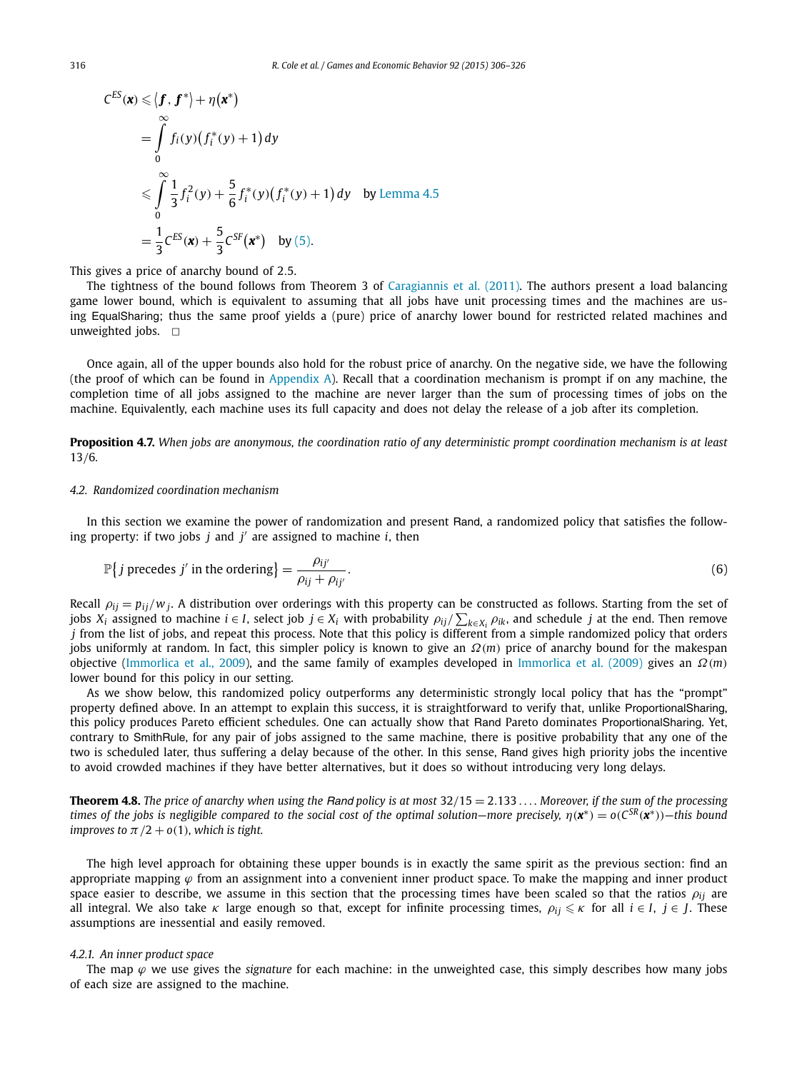<span id="page-10-0"></span>
$$
C^{ES}(\mathbf{x}) \le \langle \mathbf{f}, \mathbf{f}^* \rangle + \eta(\mathbf{x}^*)
$$
  
=  $\int_{0}^{\infty} f_i(y) (f_i^*(y) + 1) dy$   
 $\le \int_{0}^{\infty} \frac{1}{3} f_i^2(y) + \frac{5}{6} f_i^*(y) (f_i^*(y) + 1) dy$  by Lemma 4.5  
=  $\frac{1}{3} C^{ES}(\mathbf{x}) + \frac{5}{3} C^{SF}(\mathbf{x}^*)$  by (5).

This gives a price of anarchy bound of 2*.*5.

The tightness of the bound follows from Theorem 3 of Caragiannis et al.  $(2011)$ . The authors present a load balancing game lower bound, which is equivalent to assuming that all jobs have unit processing times and the machines are using EqualSharing; thus the same proof yields a (pure) price of anarchy lower bound for restricted related machines and unweighted jobs.  $\Box$ 

Once again, all of the upper bounds also hold for the robust price of anarchy. On the negative side, we have the following (the proof of which can be found in [Appendix A\)](#page-17-0). Recall that a coordination mechanism is prompt if on any machine, the completion time of all jobs assigned to the machine are never larger than the sum of processing times of jobs on the machine. Equivalently, each machine uses its full capacity and does not delay the release of a job after its completion.

**Proposition 4.7.** *When jobs are anonymous, the coordination ratio of any deterministic prompt coordination mechanism is at least* 13*/*6*.*

# *4.2. Randomized coordination mechanism*

In this section we examine the power of randomization and present Rand, a randomized policy that satisfies the following property: if two jobs  $j$  and  $j'$  are assigned to machine  $i$ , then

$$
\mathbb{P}\left\{j \text{ precedes } j' \text{ in the ordering}\right\} = \frac{\rho_{ij'}}{\rho_{ij} + \rho_{ij'}}.
$$
\n(6)

Recall  $\rho_{ij} = p_{ij}/w_j$ . A distribution over orderings with this property can be constructed as follows. Starting from the set of jobs  $X_i$  assigned to machine  $i \in I$ , select job  $j \in X_i$  with probability  $\rho_{ij}/\sum_{k \in X_i} \rho_{ik}$ , and schedule  $j$  at the end. Then remove *j* from the list of jobs, and repeat this process. Note that this policy is different from a simple randomized policy that orders jobs uniformly at random. In fact, this simpler policy is known to give an *Ω(m)* price of anarchy bound for the makespan objective [\(Immorlica et al., 2009\)](#page-19-0), and the same family of examples developed in [Immorlica et al. \(2009\)](#page-19-0) gives an *Ω(m)* lower bound for this policy in our setting.

As we show below, this randomized policy outperforms any deterministic strongly local policy that has the "prompt" property defined above. In an attempt to explain this success, it is straightforward to verify that, unlike ProportionalSharing, this policy produces Pareto efficient schedules. One can actually show that Rand Pareto dominates ProportionalSharing. Yet, contrary to SmithRule, for any pair of jobs assigned to the same machine, there is positive probability that any one of the two is scheduled later, thus suffering a delay because of the other. In this sense, Rand gives high priority jobs the incentive to avoid crowded machines if they have better alternatives, but it does so without introducing very long delays.

**Theorem 4.8.** *The price of anarchy when using the* Rand *policy is at most* 32*/*15 = 2*.*133 *... . Moreover, if the sum of the processing times of the jobs is negligible compared to the social cost of the optimal solution—more precisely,*  $\eta(x^*) = o(C^{SR}(x^*))$ *—this bound improves to*  $\pi/2$  + *o*(1)*, which is tight.* 

The high level approach for obtaining these upper bounds is in exactly the same spirit as the previous section: find an appropriate mapping *ϕ* from an assignment into a convenient inner product space. To make the mapping and inner product space easier to describe, we assume in this section that the processing times have been scaled so that the ratios  $\rho_{ii}$  are all integral. We also take  $\kappa$  large enough so that, except for infinite processing times,  $\rho_{ij} \leq \kappa$  for all  $i \in I$ ,  $j \in J$ . These assumptions are inessential and easily removed.

## *4.2.1. An inner product space*

The map *ϕ* we use gives the *signature* for each machine: in the unweighted case, this simply describes how many jobs of each size are assigned to the machine.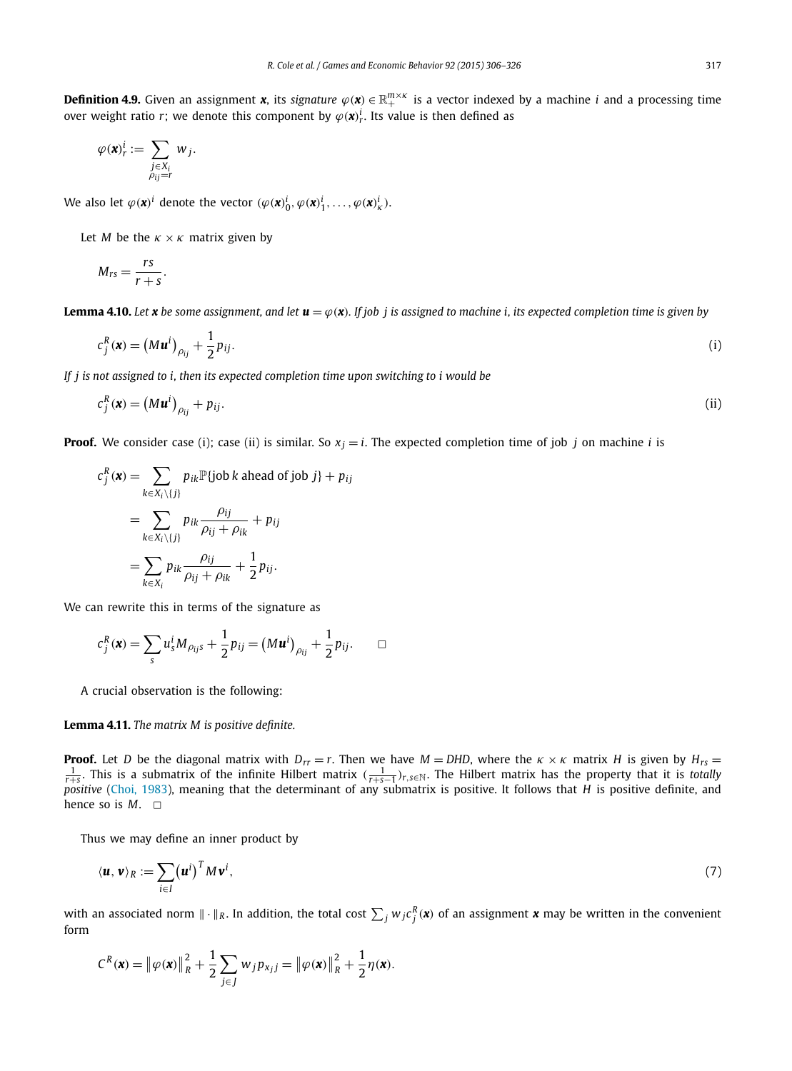<span id="page-11-0"></span>
$$
\varphi(\mathbf{x})_r^i := \sum_{\substack{j \in X_i \\ \rho_{ij} = r}} w_j.
$$

We also let  $\varphi(\bm{x})^i$  denote the vector  $(\varphi(\bm{x})^i_0, \varphi(\bm{x})^i_1, \dots, \varphi(\bm{x})^i_k)$ .

Let *M* be the  $\kappa \times \kappa$  matrix given by

$$
M_{rs}=\frac{rs}{r+s}.
$$

**Lemma 4.10.** Let *x* be some assignment, and let  $u = \varphi(x)$ . If job j is assigned to machine i, its expected completion time is given by

$$
c_j^R(\mathbf{x}) = (M\mathbf{u}^i)_{\rho_{ij}} + \frac{1}{2}p_{ij}.
$$
 (i)

*If j is not assigned to i, then its expected completion time upon switching to i would be*

$$
c_j^R(\mathbf{x}) = (M\mathbf{u}^i)_{\rho_{ij}} + p_{ij}.
$$
 (ii)

**Proof.** We consider case (i); case (ii) is similar. So  $x_j = i$ . The expected completion time of job *j* on machine *i* is

$$
c_j^R(\mathbf{x}) = \sum_{k \in X_i \setminus \{j\}} p_{ik} \mathbb{P}\{\text{job } k \text{ ahead of job } j\} + p_{ij}
$$
  
= 
$$
\sum_{k \in X_i \setminus \{j\}} p_{ik} \frac{\rho_{ij}}{\rho_{ij} + \rho_{ik}} + p_{ij}
$$
  
= 
$$
\sum_{k \in X_i} p_{ik} \frac{\rho_{ij}}{\rho_{ij} + \rho_{ik}} + \frac{1}{2} p_{ij}.
$$

We can rewrite this in terms of the signature as

$$
c_j^R(\mathbf{x}) = \sum_s u_s^i M_{\rho_{ij}s} + \frac{1}{2} p_{ij} = (M \mathbf{u}^i)_{\rho_{ij}} + \frac{1}{2} p_{ij}. \square
$$

A crucial observation is the following:

#### **Lemma 4.11.** *The matrix M is positive definite.*

**Proof.** Let *D* be the diagonal matrix with  $D_{rr} = r$ . Then we have  $M = DHD$ , where the  $\kappa \times \kappa$  matrix *H* is given by  $H_{rs} = \frac{1}{r+s}$ . This is a submatrix of the infinite Hilbert matrix  $(\frac{1}{r+s-1})_{r,s \in \mathbb{N}}$ . The Hilb *positive* [\(Choi, 1983\)](#page-19-0), meaning that the determinant of any submatrix is positive. It follows that *H* is positive definite, and hence so is  $M$ .  $\square$ 

Thus we may define an inner product by

$$
\langle \mathbf{u}, \mathbf{v} \rangle_R := \sum_{i \in I} (\mathbf{u}^i)^T M \mathbf{v}^i,
$$
 (7)

with an associated norm  $\|\cdot\|_R.$  In addition, the total cost  $\sum_jw_jc_j^R(\bm{x})$  of an assignment  $\bm{x}$  may be written in the convenient form

$$
C^{R}(\mathbf{x}) = \left\|\varphi(\mathbf{x})\right\|_{R}^{2} + \frac{1}{2}\sum_{j\in J}w_{j}p_{x_{j}j} = \left\|\varphi(\mathbf{x})\right\|_{R}^{2} + \frac{1}{2}\eta(\mathbf{x}).
$$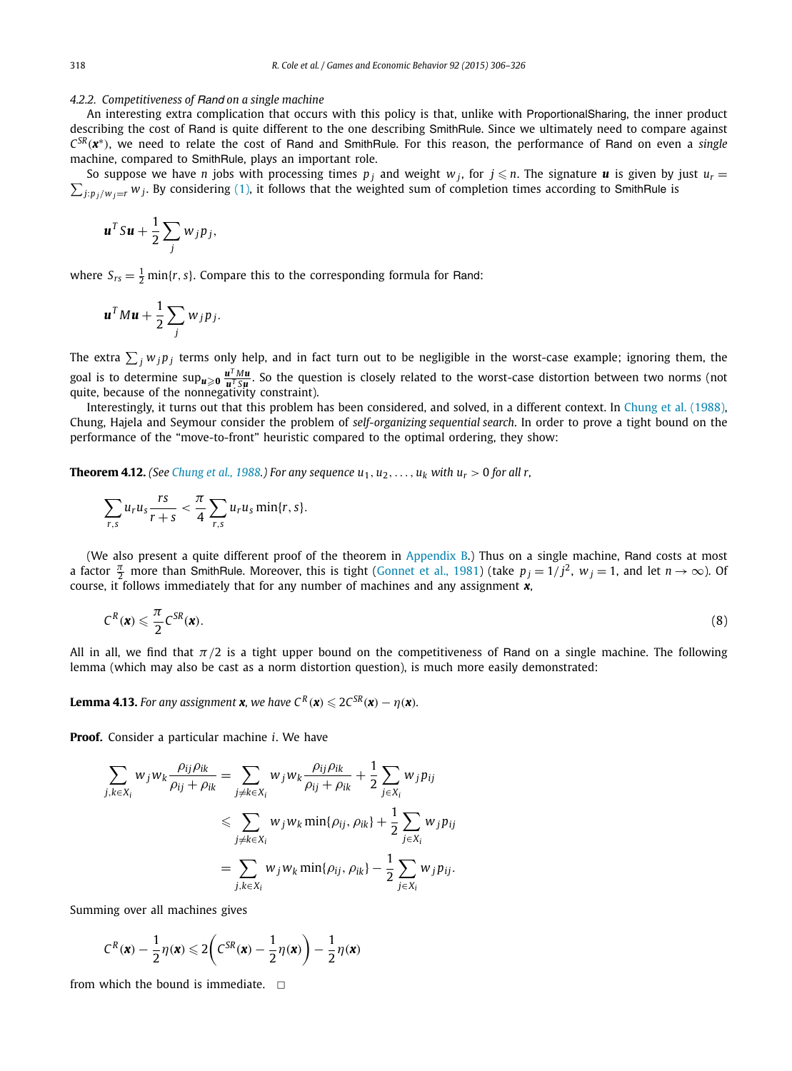#### <span id="page-12-0"></span>*4.2.2. Competitiveness of* Rand *on a single machine*

An interesting extra complication that occurs with this policy is that, unlike with ProportionalSharing, the inner product describing the cost of Rand is quite different to the one describing SmithRule. Since we ultimately need to compare against *CSR(x*∗*)*, we need to relate the cost of Rand and SmithRule. For this reason, the performance of Rand on even a *single* machine, compared to SmithRule, plays an important role.

So suppose we have *n* jobs with processing times  $p_j$  and weight  $w_j$ , for  $j \leqslant n$ . The signature  $u$  is given by just  $u_r =$  $\sum_{j:p_j/w_j=r}w_j.$  By considering [\(1\),](#page-6-0) it follows that the weighted sum of completion times according to SmithRule is

$$
\boldsymbol{u}^T S \boldsymbol{u} + \frac{1}{2} \sum_j w_j p_j,
$$

where  $S_{rs} = \frac{1}{2} \min\{r, s\}$ . Compare this to the corresponding formula for Rand:

$$
\boldsymbol{u}^T M \boldsymbol{u} + \frac{1}{2} \sum_j w_j p_j.
$$

The extra  $\sum_j w_j p_j$  terms only help, and in fact turn out to be negligible in the worst-case example; ignoring them, the goal is to determine sup<sub>u</sub><sub> $\geq 0$ </sub>  $\frac{u^T Mu}{u^T \cdot s \mu}$ . So the question is closely related to the worst-case distortion between two norms (not quite, because of the nonnegativity constraint).

Interestingly, it turns out that this problem has been considered, and solved, in a different context. In [Chung et al. \(1988\),](#page-19-0) Chung, Hajela and Seymour consider the problem of *self-organizing sequential search*. In order to prove a tight bound on the performance of the "move-to-front" heuristic compared to the optimal ordering, they show:

**Theorem 4.12.** *(See Chung [et al., 1988.](#page-19-0)) For any sequence*  $u_1, u_2, \ldots, u_k$  *with*  $u_r > 0$  *for all r,* 

$$
\sum_{r,s} u_r u_s \frac{rs}{r+s} < \frac{\pi}{4} \sum_{r,s} u_r u_s \min\{r,s\}.
$$

(We also present a quite different proof of the theorem in [Appendix B.](#page-18-0)) Thus on a single machine, Rand costs at most a factor  $\frac{\pi}{2}$  more than SmithRule. Moreover, this is tight [\(Gonnet et al., 1981\)](#page-19-0) (take  $p_j = 1/j^2$ ,  $w_j = 1$ , and let  $n \to \infty$ ). Of course, it follows immediately that for any number of machines and any assignment *x*,

$$
C^{R}(\mathbf{x}) \leqslant \frac{\pi}{2} C^{SR}(\mathbf{x}).
$$
\n(8)

All in all, we find that *π/*2 is a tight upper bound on the competitiveness of Rand on a single machine. The following lemma (which may also be cast as a norm distortion question), is much more easily demonstrated:

**Lemma 4.13.** For any assignment **x**, we have  $C^R(\mathbf{x}) \leqslant 2C^{SR}(\mathbf{x}) - \eta(\mathbf{x})$ .

**Proof.** Consider a particular machine *i*. We have

$$
\sum_{j,k\in X_i} w_j w_k \frac{\rho_{ij}\rho_{ik}}{\rho_{ij} + \rho_{ik}} = \sum_{j\neq k\in X_i} w_j w_k \frac{\rho_{ij}\rho_{ik}}{\rho_{ij} + \rho_{ik}} + \frac{1}{2} \sum_{j\in X_i} w_j p_{ij}
$$
  

$$
\leqslant \sum_{j\neq k\in X_i} w_j w_k \min\{\rho_{ij}, \rho_{ik}\} + \frac{1}{2} \sum_{j\in X_i} w_j p_{ij}
$$
  

$$
= \sum_{j,k\in X_i} w_j w_k \min\{\rho_{ij}, \rho_{ik}\} - \frac{1}{2} \sum_{j\in X_i} w_j p_{ij}.
$$

Summing over all machines gives

$$
C^{R}(\mathbf{x}) - \frac{1}{2}\eta(\mathbf{x}) \leqslant 2\left(C^{SR}(\mathbf{x}) - \frac{1}{2}\eta(\mathbf{x})\right) - \frac{1}{2}\eta(\mathbf{x})
$$

from which the bound is immediate.  $\Box$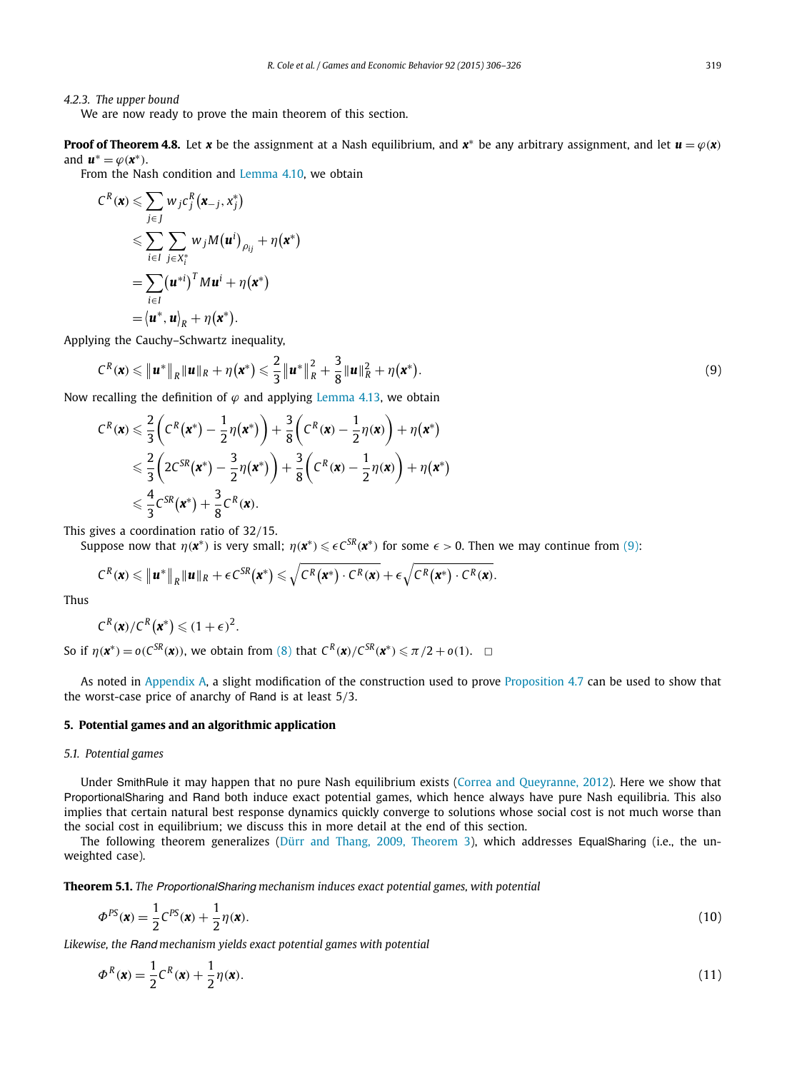#### <span id="page-13-0"></span>*4.2.3. The upper bound*

We are now ready to prove the main theorem of this section.

**Proof of Theorem 4.8.** Let *x* be the assignment at a Nash equilibrium, and  $x^*$  be any arbitrary assignment, and let  $u = \varphi(x)$ and  $\mathbf{u}^* = \varphi(\mathbf{x}^*)$ .

From the Nash condition and [Lemma](#page-11-0) 4.10, we obtain

$$
C^{R}(\mathbf{x}) \leq \sum_{j \in J} w_{j} c_{j}^{R}(\mathbf{x}_{-j}, x_{j}^{*})
$$
  
\n
$$
\leq \sum_{i \in I} \sum_{j \in X_{i}^{*}} w_{j} M(u^{i})_{\rho_{ij}} + \eta(\mathbf{x}^{*})
$$
  
\n
$$
= \sum_{i \in I} (u^{*i})^{T} M u^{i} + \eta(\mathbf{x}^{*})
$$
  
\n
$$
= \langle u^{*}, u \rangle_{R} + \eta(\mathbf{x}^{*}).
$$

Applying the Cauchy–Schwartz inequality,

$$
CR(\boldsymbol{x}) \leqslant \|\boldsymbol{u}^*\|_R \|\boldsymbol{u}\|_R + \eta(\boldsymbol{x}^*) \leqslant \frac{2}{3} \|\boldsymbol{u}^*\|_R^2 + \frac{3}{8} \|\boldsymbol{u}\|_R^2 + \eta(\boldsymbol{x}^*).
$$
\n(9)

Now recalling the definition of  $\varphi$  and applying [Lemma 4.13,](#page-12-0) we obtain

$$
C^{R}(\mathbf{x}) \leqslant \frac{2}{3}\left(C^{R}(\mathbf{x}^{*}) - \frac{1}{2}\eta(\mathbf{x}^{*})\right) + \frac{3}{8}\left(C^{R}(\mathbf{x}) - \frac{1}{2}\eta(\mathbf{x})\right) + \eta(\mathbf{x}^{*})
$$
  

$$
\leqslant \frac{2}{3}\left(2C^{SR}(\mathbf{x}^{*}) - \frac{3}{2}\eta(\mathbf{x}^{*})\right) + \frac{3}{8}\left(C^{R}(\mathbf{x}) - \frac{1}{2}\eta(\mathbf{x})\right) + \eta(\mathbf{x}^{*})
$$
  

$$
\leqslant \frac{4}{3}C^{SR}(\mathbf{x}^{*}) + \frac{3}{8}C^{R}(\mathbf{x}).
$$

This gives a coordination ratio of 32*/*15.

Suppose now that  $\eta(x^*)$  is very small;  $\eta(x^*) \leqslant \epsilon C^{SR}(x^*)$  for some  $\epsilon > 0$ . Then we may continue from (9):

$$
C^R(\mathbf{x}) \leqslant \|\mathbf{u}^*\|_R \|\mathbf{u}\|_R + \epsilon C^{SR}(\mathbf{x}^*) \leqslant \sqrt{C^R(\mathbf{x}^*) \cdot C^R(\mathbf{x})} + \epsilon \sqrt{C^R(\mathbf{x}^*) \cdot C^R(\mathbf{x})}.
$$

Thus

$$
C^R(\mathbf{x})/C^R(\mathbf{x}^*) \leq (1+\epsilon)^2.
$$

So if  $\eta(\mathbf{x}^*) = o(C^{SR}(\mathbf{x}))$ , we obtain from [\(8\)](#page-12-0) that  $C^R(\mathbf{x})/C^{SR}(\mathbf{x}^*) \le \pi/2 + o(1)$ .  $\Box$ 

As noted in [Appendix A,](#page-17-0) a slight modification of the construction used to prove [Proposition 4.7](#page-10-0) can be used to show that the worst-case price of anarchy of Rand is at least 5*/*3.

# **5. Potential games and an algorithmic application**

### *5.1. Potential games*

Under SmithRule it may happen that no pure Nash equilibrium exists [\(Correa and Queyranne, 2012\)](#page-19-0). Here we show that ProportionalSharing and Rand both induce exact potential games, which hence always have pure Nash equilibria. This also implies that certain natural best response dynamics quickly converge to solutions whose social cost is not much worse than the social cost in equilibrium; we discuss this in more detail at the end of this section.

The following theorem generalizes [\(Dürr and Thang, 2009, Theorem 3\)](#page-19-0), which addresses EqualSharing (i.e., the unweighted case).

**Theorem 5.1.** *The* ProportionalSharing *mechanism induces exact potential games, with potential*

$$
\Phi^{PS}(\mathbf{x}) = \frac{1}{2}C^{PS}(\mathbf{x}) + \frac{1}{2}\eta(\mathbf{x}).
$$
\n(10)

*Likewise, the* Rand *mechanism yields exact potential games with potential*

$$
\Phi^{R}(\mathbf{x}) = \frac{1}{2} \mathbf{C}^{R}(\mathbf{x}) + \frac{1}{2} \eta(\mathbf{x}).
$$
\n(11)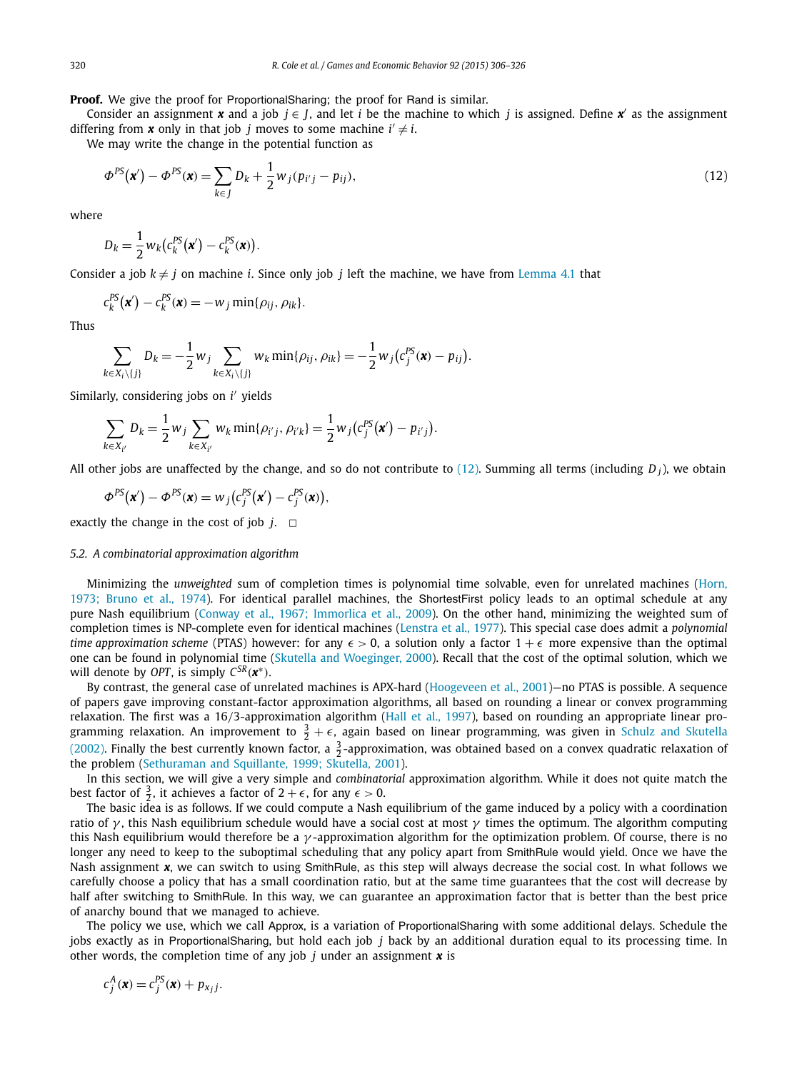**Proof.** We give the proof for ProportionalSharing; the proof for Rand is similar.

Consider an assignment  $x$  and a job  $j \in J$ , and let *i* be the machine to which *j* is assigned. Define  $x'$  as the assignment differing from **x** only in that job *j* moves to some machine  $i' \neq i$ .

We may write the change in the potential function as

$$
\Phi^{PS}(\boldsymbol{x}') - \Phi^{PS}(\boldsymbol{x}) = \sum_{k \in J} D_k + \frac{1}{2} w_j (p_{i'j} - p_{ij}),\tag{12}
$$

where

$$
D_k = \frac{1}{2} w_k (c_k^{PS}(\mathbf{x}') - c_k^{PS}(\mathbf{x})).
$$

Consider a job  $k \neq j$  on machine *i*. Since only job *j* left the machine, we have from [Lemma 4.1](#page-7-0) that

$$
c_k^{PS}(\boldsymbol{x}') - c_k^{PS}(\boldsymbol{x}) = -w_j \min\{\rho_{ij}, \rho_{ik}\}.
$$

Thus

$$
\sum_{k\in X_i\setminus\{j\}}D_k=-\frac{1}{2}w_j\sum_{k\in X_i\setminus\{j\}}w_k\min\{\rho_{ij},\rho_{ik}\}=-\frac{1}{2}w_j(c_j^{PS}(\mathbf{x})-p_{ij}).
$$

Similarly, considering jobs on *i'* yields

$$
\sum_{k \in X_{i'}} D_k = \frac{1}{2} w_j \sum_{k \in X_{i'}} w_k \min\{\rho_{i'j}, \rho_{i'k}\} = \frac{1}{2} w_j (c_j^{PS}(\mathbf{x}') - p_{i'j}).
$$

All other jobs are unaffected by the change, and so do not contribute to  $(12)$ . Summing all terms (including  $D_i$ ), we obtain

$$
\Phi^{PS}(\mathbf{x}') - \Phi^{PS}(\mathbf{x}) = w_j(c_j^{PS}(\mathbf{x}') - c_j^{PS}(\mathbf{x})),
$$

exactly the change in the cost of job  $j$ .  $\Box$ 

#### *5.2. A combinatorial approximation algorithm*

Minimizing the *unweighted* sum of completion times is polynomial time solvable, even for unrelated machines [\(Horn,](#page-19-0) [1973; Bruno et al., 1974\)](#page-19-0). For identical parallel machines, the ShortestFirst policy leads to an optimal schedule at any pure Nash equilibrium [\(Conway et al., 1967; Immorlica et al., 2009\)](#page-19-0). On the other hand, minimizing the weighted sum of completion times is NP-complete even for identical machines [\(Lenstra et al., 1977\)](#page-20-0). This special case does admit a *polynomial time approximation scheme* (PTAS) however: for any  $\epsilon > 0$ , a solution only a factor  $1 + \epsilon$  more expensive than the optimal one can be found in polynomial time [\(Skutella and Woeginger, 2000\)](#page-20-0). Recall that the cost of the optimal solution, which we will denote by *OPT*, is simply *CSR(x*∗*)*.

By contrast, the general case of unrelated machines is APX-hard [\(Hoogeveen et al., 2001\)](#page-19-0)—no PTAS is possible. A sequence of papers gave improving constant-factor approximation algorithms, all based on rounding a linear or convex programming relaxation. The first was a 16*/*3-approximation algorithm [\(Hall et al., 1997\)](#page-19-0), based on rounding an appropriate linear programming relaxation. An improvement to  $\frac{3}{2}+\epsilon$ , again based on linear programming, was given in [Schulz and Skutella](#page-20-0) [\(2002\).](#page-20-0) Finally the best currently known factor, a  $\frac{3}{2}$ -approximation, was obtained based on a convex quadratic relaxation of the problem [\(Sethuraman and Squillante, 1999; Skutella, 2001\)](#page-20-0).

In this section, we will give a very simple and *combinatorial* approximation algorithm. While it does not quite match the best factor of  $\frac{3}{2}$ , it achieves a factor of  $2 + \epsilon$ , for any  $\epsilon > 0$ .

The basic idea is as follows. If we could compute a Nash equilibrium of the game induced by a policy with a coordination ratio of *γ* , this Nash equilibrium schedule would have a social cost at most *γ* times the optimum. The algorithm computing this Nash equilibrium would therefore be a *γ* -approximation algorithm for the optimization problem. Of course, there is no longer any need to keep to the suboptimal scheduling that any policy apart from SmithRule would yield. Once we have the Nash assignment *x*, we can switch to using SmithRule, as this step will always decrease the social cost. In what follows we carefully choose a policy that has a small coordination ratio, but at the same time guarantees that the cost will decrease by half after switching to SmithRule. In this way, we can guarantee an approximation factor that is better than the best price of anarchy bound that we managed to achieve.

The policy we use, which we call Approx, is a variation of ProportionalSharing with some additional delays. Schedule the jobs exactly as in ProportionalSharing, but hold each job *j* back by an additional duration equal to its processing time. In other words, the completion time of any job *j* under an assignment *x* is

$$
c_j^A(\mathbf{x}) = c_j^{PS}(\mathbf{x}) + p_{x_jj}.
$$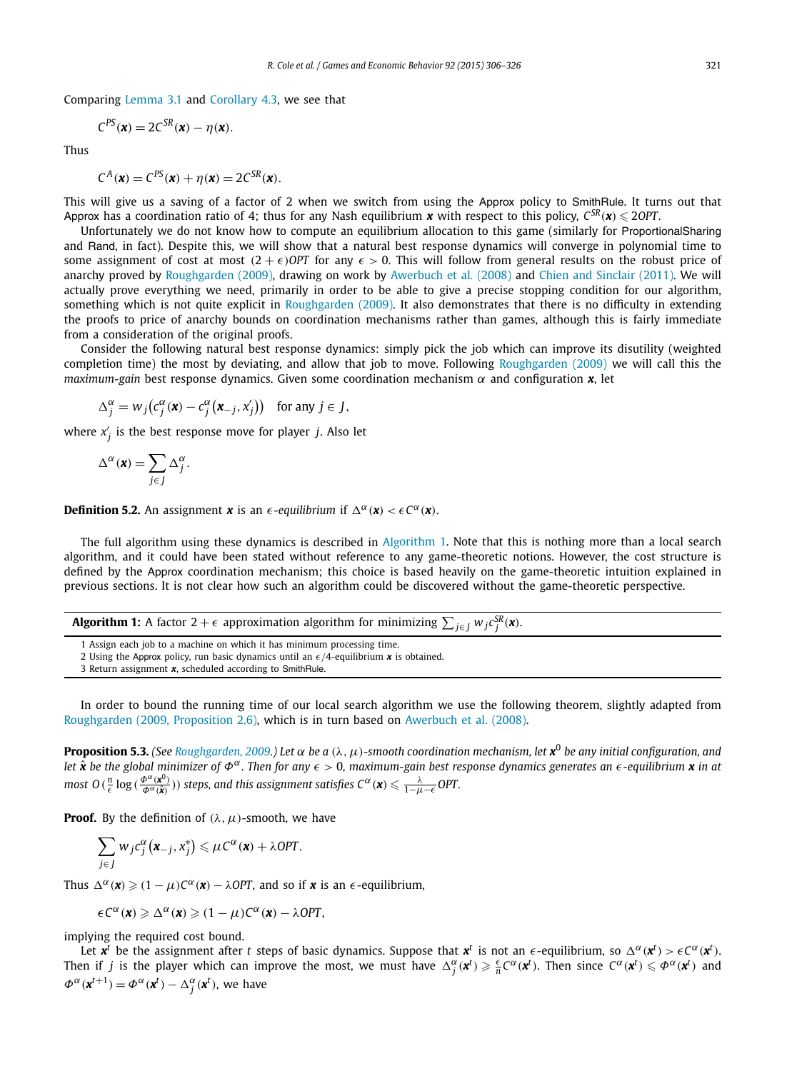<span id="page-15-0"></span>Comparing [Lemma 3.1](#page-6-0) and [Corollary 4.3,](#page-8-0) we see that

$$
C^{PS}(\mathbf{x}) = 2C^{SR}(\mathbf{x}) - \eta(\mathbf{x}).
$$

Thus

$$
C^{A}(\mathbf{x}) = C^{PS}(\mathbf{x}) + \eta(\mathbf{x}) = 2C^{SR}(\mathbf{x}).
$$

This will give us a saving of a factor of 2 when we switch from using the Approx policy to SmithRule. It turns out that Approx has a coordination ratio of 4; thus for any Nash equilibrium *x* with respect to this policy, *CSR(x)* - 2*OPT*.

Unfortunately we do not know how to compute an equilibrium allocation to this game (similarly for ProportionalSharing and Rand, in fact). Despite this, we will show that a natural best response dynamics will converge in polynomial time to some assignment of cost at most  $(2 + \epsilon)$ *OPT* for any  $\epsilon > 0$ . This will follow from general results on the robust price of anarchy proved by [Roughgarden \(2009\),](#page-20-0) drawing on work by [Awerbuch et al. \(2008\)](#page-19-0) and [Chien and Sinclair \(2011\).](#page-19-0) We will actually prove everything we need, primarily in order to be able to give a precise stopping condition for our algorithm, something which is not quite explicit in [Roughgarden \(2009\).](#page-20-0) It also demonstrates that there is no difficulty in extending the proofs to price of anarchy bounds on coordination mechanisms rather than games, although this is fairly immediate from a consideration of the original proofs.

Consider the following natural best response dynamics: simply pick the job which can improve its disutility (weighted completion time) the most by deviating, and allow that job to move. Following [Roughgarden \(2009\)](#page-20-0) we will call this the *maximum-gain* best response dynamics. Given some coordination mechanism *α* and configuration *x*, let

$$
\Delta_j^{\alpha} = w_j(c_j^{\alpha}(\mathbf{x}) - c_j^{\alpha}(\mathbf{x}_{-j}, x'_j)) \text{ for any } j \in J,
$$

where  $x'_{j}$  is the best response move for player *j*. Also let

$$
\Delta^{\alpha}(\mathbf{x}) = \sum_{j \in J} \Delta_j^{\alpha}.
$$

**Definition 5.2.** An assignment *x* is an  $\epsilon$ -equilibrium if  $\Delta^{\alpha}(x) < \epsilon C^{\alpha}(x)$ .

The full algorithm using these dynamics is described in Algorithm 1. Note that this is nothing more than a local search algorithm, and it could have been stated without reference to any game-theoretic notions. However, the cost structure is defined by the Approx coordination mechanism; this choice is based heavily on the game-theoretic intuition explained in previous sections. It is not clear how such an algorithm could be discovered without the game-theoretic perspective.

| <b>Algorithm 1:</b> A factor $2 + \epsilon$ approximation algorithm for minimizing $\sum_{i \in I} w_i c_i^{SR}(\boldsymbol{x})$ . |
|------------------------------------------------------------------------------------------------------------------------------------|
| 1 Assign each job to a machine on which it has minimum processing time.                                                            |
| 2 Using the Approx policy, run basic dynamics until an $\epsilon/4$ -equilibrium <b>x</b> is obtained.                             |
| 3 Return assignment $x$ , scheduled according to SmithRule.                                                                        |

In order to bound the running time of our local search algorithm we use the following theorem, slightly adapted from [Roughgarden \(2009, Proposition 2.6\),](#page-20-0) which is in turn based on [Awerbuch et al. \(2008\).](#page-19-0)

**Proposition 5.3.** *(See [Roughgarden, 2009.](#page-20-0)) Let*  $\alpha$  *be a*  $(\lambda, \mu)$ -smooth coordination mechanism, let  $\mathbf{x}^0$  *be any initial configuration, and let x*ˆ *be the global minimizer of Φα. Then for any >* 0*, maximum-gain best response dynamics generates an -equilibrium x in at* most  $O(\frac{n}{\epsilon} \log{(\frac{\phi^{\alpha}(\mathbf{x}^0)}{\phi^{\alpha}(\hat{\mathbf{x}})})})$  steps, and this assignment satisfies  $C^{\alpha}(\mathbf{x}) \leqslant \frac{\lambda}{1-\mu-\epsilon}$ OPT.

**Proof.** By the definition of  $(\lambda, \mu)$ -smooth, we have

$$
\sum_{j\in J} w_j c_j^{\alpha}(\mathbf{x}_{-j},x_j^*) \leq \mu C^{\alpha}(\mathbf{x}) + \lambda OPT.
$$

Thus  $\Delta^{\alpha}(x) \geq (1 - \mu)C^{\alpha}(x) - \lambda OPT$ , and so if x is an  $\epsilon$ -equilibrium,

$$
\epsilon C^{\alpha}(\mathbf{x}) \geqslant \Delta^{\alpha}(\mathbf{x}) \geqslant (1 - \mu) C^{\alpha}(\mathbf{x}) - \lambda OPT,
$$

implying the required cost bound.

Let  $x^t$  be the assignment after *t* steps of basic dynamics. Suppose that  $x^t$  is not an  $\epsilon$ -equilibrium, so  $\Delta^\alpha(x^t) > \epsilon C^\alpha(x^t)$ . Then if j is the player which can improve the most, we must have  $\Delta_j^{\alpha}(\mathbf{x}^t) \geq \frac{\epsilon}{n} C^{\alpha}(\mathbf{x}^t)$ . Then since  $C^{\alpha}(\mathbf{x}^t) \leq \Phi^{\alpha}(\mathbf{x}^t)$  and  $\Phi^{\alpha}(\boldsymbol{x}^{t+1}) = \Phi^{\alpha}(\boldsymbol{x}^{t}) - \Delta^{\alpha}_{j}(\boldsymbol{x}^{t}),$  we have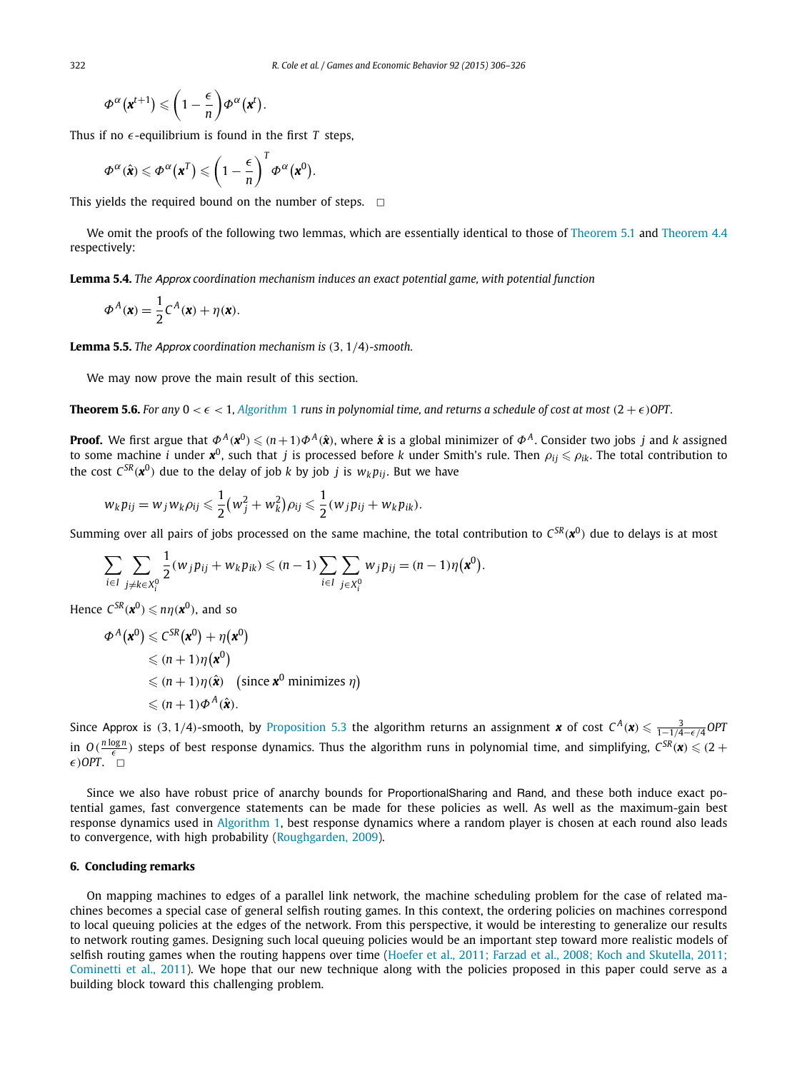$$
\varPhi^{\alpha}(\mathbf{x}^{t+1}) \leqslant \left(1-\frac{\epsilon}{n}\right)\varPhi^{\alpha}(\mathbf{x}^{t}).
$$

Thus if no  $\epsilon$ -equilibrium is found in the first *T* steps,

$$
\boldsymbol{\Phi}^{\alpha}(\hat{\mathbf{x}}) \leqslant \boldsymbol{\Phi}^{\alpha}(\mathbf{x}^{T}) \leqslant \left(1 - \frac{\epsilon}{n}\right)^{T} \boldsymbol{\Phi}^{\alpha}(\mathbf{x}^{0}).
$$

This vields the required bound on the number of steps.  $\Box$ 

We omit the proofs of the following two lemmas, which are essentially identical to those of [Theorem 5.1](#page-13-0) and [Theorem 4.4](#page-8-0) respectively:

**Lemma 5.4.** *The* Approx *coordination mechanism induces an exact potential game, with potential function*

$$
\Phi^A(\mathbf{x}) = \frac{1}{2} C^A(\mathbf{x}) + \eta(\mathbf{x}).
$$

**Lemma 5.5.** *The* Approx *coordination mechanism is (*3*,* 1*/*4*)-smooth.*

We may now prove the main result of this section.

**Theorem 5.6.** For any  $0 \lt \epsilon \lt 1$ , [Algorithm](#page-15-0) 1 runs in polynomial time, and returns a schedule of cost at most  $(2 + \epsilon)$ OPT.

**Proof.** We first argue that  $\Phi^A(x^0)\leqslant(n+1)\Phi^A(\hat{\bm{x}}),$  where  $\hat{\bm{x}}$  is a global minimizer of  $\Phi^A.$  Consider two jobs  $j$  and  $k$  assigned to some machine *i* under *x*0, such that *j* is processed before *k* under Smith's rule. Then *ρij* - *ρik*. The total contribution to the cost  $C^{SR}(\mathbf{x}^0)$  due to the delay of job *k* by job *j* is  $w_k p_{ij}$ . But we have

$$
w_k p_{ij} = w_j w_k \rho_{ij} \leq \frac{1}{2} (w_j^2 + w_k^2) \rho_{ij} \leq \frac{1}{2} (w_j p_{ij} + w_k p_{ik}).
$$

Summing over all pairs of jobs processed on the same machine, the total contribution to  $C^{SR}(x^0)$  due to delays is at most

$$
\sum_{i\in I}\sum_{j\neq k\in X_i^0}\frac{1}{2}(w_jp_{ij}+w_kp_{ik})\leq (n-1)\sum_{i\in I}\sum_{j\in X_i^0}w_jp_{ij}=(n-1)\eta(\mathbf{x}^0).
$$

Hence  $C^{SR}(\boldsymbol{x}^0) \leqslant n\eta(\boldsymbol{x}^0)$ , and so

$$
\Phi^{A}(\mathbf{x}^{0}) \leq C^{SR}(\mathbf{x}^{0}) + \eta(\mathbf{x}^{0})
$$
  
\n
$$
\leq (n+1)\eta(\mathbf{x}^{0})
$$
  
\n
$$
\leq (n+1)\eta(\hat{\mathbf{x}}) \quad \text{(since } \mathbf{x}^{0} \text{ minimizes } \eta \text{)} \leq (n+1)\Phi^{A}(\hat{\mathbf{x}}).
$$

Since Approx is (3, 1/4)-smooth, by [Proposition 5.3](#page-15-0) the algorithm returns an assignment  $x$  of cost  $C^{A}(x) \leq \frac{3}{1-1/4-\epsilon/4}$ OPT in  $O(\frac{n \log n}{\epsilon})$  steps of best response dynamics. Thus the algorithm runs in polynomial time, and simplifying,  $C^{SR}(\mathbf{x}) \leq 2 + \epsilon$  $\epsilon$ ) OPT. <del>□</del>

Since we also have robust price of anarchy bounds for ProportionalSharing and Rand, and these both induce exact potential games, fast convergence statements can be made for these policies as well. As well as the maximum-gain best response dynamics used in [Algorithm 1,](#page-15-0) best response dynamics where a random player is chosen at each round also leads to convergence, with high probability [\(Roughgarden, 2009\)](#page-20-0).

#### **6. Concluding remarks**

On mapping machines to edges of a parallel link network, the machine scheduling problem for the case of related machines becomes a special case of general selfish routing games. In this context, the ordering policies on machines correspond to local queuing policies at the edges of the network. From this perspective, it would be interesting to generalize our results to network routing games. Designing such local queuing policies would be an important step toward more realistic models of selfish routing games when the routing happens over time [\(Hoefer et al., 2011; Farzad et al., 2008; Koch and Skutella, 2011;](#page-19-0) [Cominetti et al., 2011\)](#page-19-0). We hope that our new technique along with the policies proposed in this paper could serve as a building block toward this challenging problem.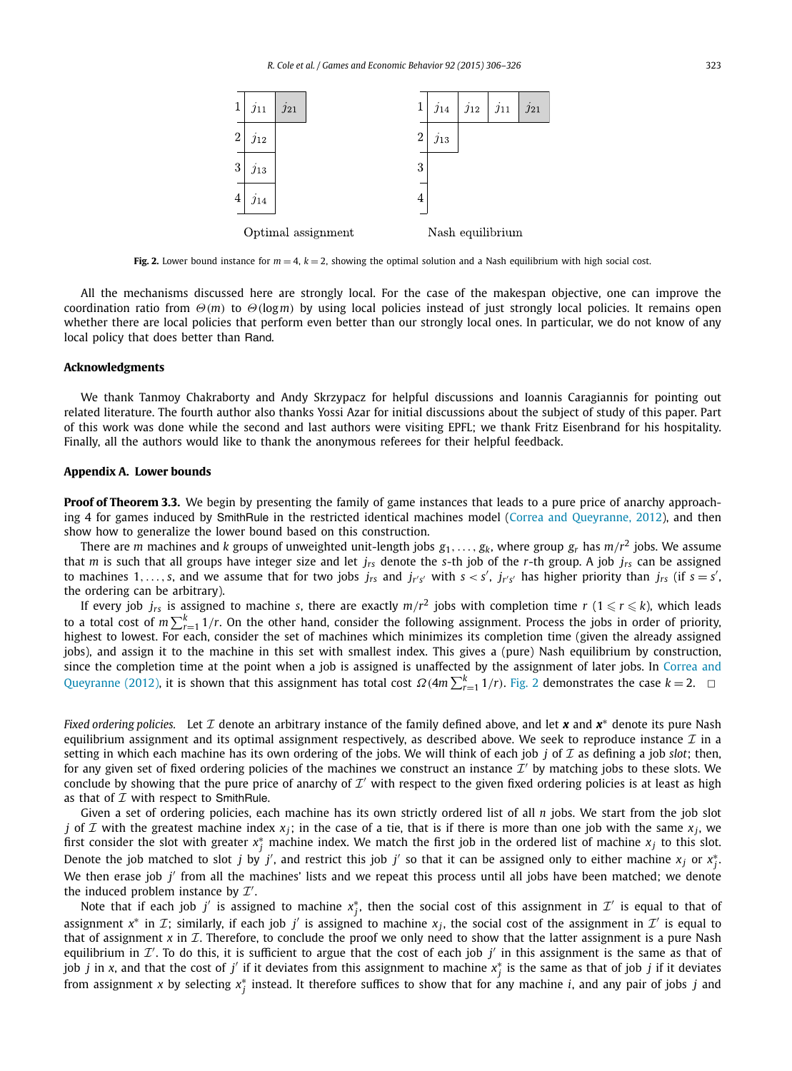<span id="page-17-0"></span>

**Fig. 2.** Lower bound instance for  $m = 4$ ,  $k = 2$ , showing the optimal solution and a Nash equilibrium with high social cost.

All the mechanisms discussed here are strongly local. For the case of the makespan objective, one can improve the coordination ratio from *Θ(m)* to *Θ(*log*m)* by using local policies instead of just strongly local policies. It remains open whether there are local policies that perform even better than our strongly local ones. In particular, we do not know of any local policy that does better than Rand.

#### **Acknowledgments**

We thank Tanmoy Chakraborty and Andy Skrzypacz for helpful discussions and Ioannis Caragiannis for pointing out related literature. The fourth author also thanks Yossi Azar for initial discussions about the subject of study of this paper. Part of this work was done while the second and last authors were visiting EPFL; we thank Fritz Eisenbrand for his hospitality. Finally, all the authors would like to thank the anonymous referees for their helpful feedback.

#### **Appendix A. Lower bounds**

**Proof of Theorem 3.3.** We begin by presenting the family of game instances that leads to a pure price of anarchy approaching 4 for games induced by SmithRule in the restricted identical machines model [\(Correa and Queyranne, 2012\)](#page-19-0), and then show how to generalize the lower bound based on this construction.

There are *m* machines and *k* groups of unweighted unit-length jobs  $g_1, \ldots, g_k$ , where group  $g_r$  has  $m/r^2$  jobs. We assume that *m* is such that all groups have integer size and let *jrs* denote the *s*-th job of the *r*-th group. A job *jrs* can be assigned to machines 1, ..., *s*, and we assume that for two jobs  $j_{rs}$  and  $j_{r's'}$  with  $s < s'$ ,  $j_{r's'}$  has higher priority than  $j_{rs}$  (if  $s = s'$ , the ordering can be arbitrary).

If every job  $j_{rs}$  is assigned to machine  $s$ , there are exactly  $m/r^2$  jobs with completion time  $r$  (1  $\leqslant$   $r\leqslant$   $k$ ), which leads to a total cost of  $m\sum_{r=1}^k 1/r$ . On the other hand, consider the following assignment. Process the jobs in order of priority, highest to lowest. For each, consider the set of machines which minimizes its completion time (given the already assigned jobs), and assign it to the machine in this set with smallest index. This gives a (pure) Nash equilibrium by construction, since the completion time at the point when a job is assigned is unaffected by the assignment of later jobs. In [Correa and](#page-19-0) [Queyranne \(2012\),](#page-19-0) it is shown that this assignment has total cost  $\Omega(4m\sum_{r=1}^{k}1/r)$ . Fig. 2 demonstrates the case  $k=2$ .

*Fixed ordering policies.* Let *I* denote an arbitrary instance of the family defined above, and let *x* and *x*<sup>∗</sup> denote its pure Nash equilibrium assignment and its optimal assignment respectively, as described above. We seek to reproduce instance  $\mathcal I$  in a setting in which each machine has its own ordering of the jobs. We will think of each job  $j$  of  $\mathcal I$  as defining a job *slot*; then, for any given set of fixed ordering policies of the machines we construct an instance  $\mathcal{I}'$  by matching jobs to these slots. We conclude by showing that the pure price of anarchy of  $\mathcal{I}'$  with respect to the given fixed ordering policies is at least as high as that of  $I$  with respect to SmithRule.

Given a set of ordering policies, each machine has its own strictly ordered list of all *n* jobs. We start from the job slot *j* of  $I$  with the greatest machine index  $x_j$ ; in the case of a tie, that is if there is more than one job with the same  $x_j$ , we first consider the slot with greater  $x_j^*$  machine index. We match the first job in the ordered list of machine  $x_j$  to this slot. Denote the job matched to slot *j* by *j'*, and restrict this job *j'* so that it can be assigned only to either machine  $x_j$  or  $x_j^*$ . We then erase job *j'* from all the machines' lists and we repeat this process until all jobs have been matched; we denote the induced problem instance by  $\mathcal{I}'$ .

Note that if each job *j'* is assigned to machine  $x_j^*$ , then the social cost of this assignment in  $\mathcal{I}'$  is equal to that of assignment  $x^*$  in  $\mathcal{I}$ ; similarly, if each job *j'* is assigned to machine  $x_j$ , the social cost of the assignment in  $\mathcal{I}'$  is equal to that of assignment  $x$  in  $\mathcal I$ . Therefore, to conclude the proof we only need to show that the latter assignment is a pure Nash equilibrium in  $\mathcal{I}'$ . To do this, it is sufficient to argue that the cost of each job  $j'$  in this assignment is the same as that of job *j* in *x*, and that the cost of *j'* if it deviates from this assignment to machine  $x_j^*$  is the same as that of job *j* if it deviates from assignment *x* by selecting *x*<sup>∗</sup> *<sup>j</sup>* instead. It therefore suffices to show that for any machine *i*, and any pair of jobs *j* and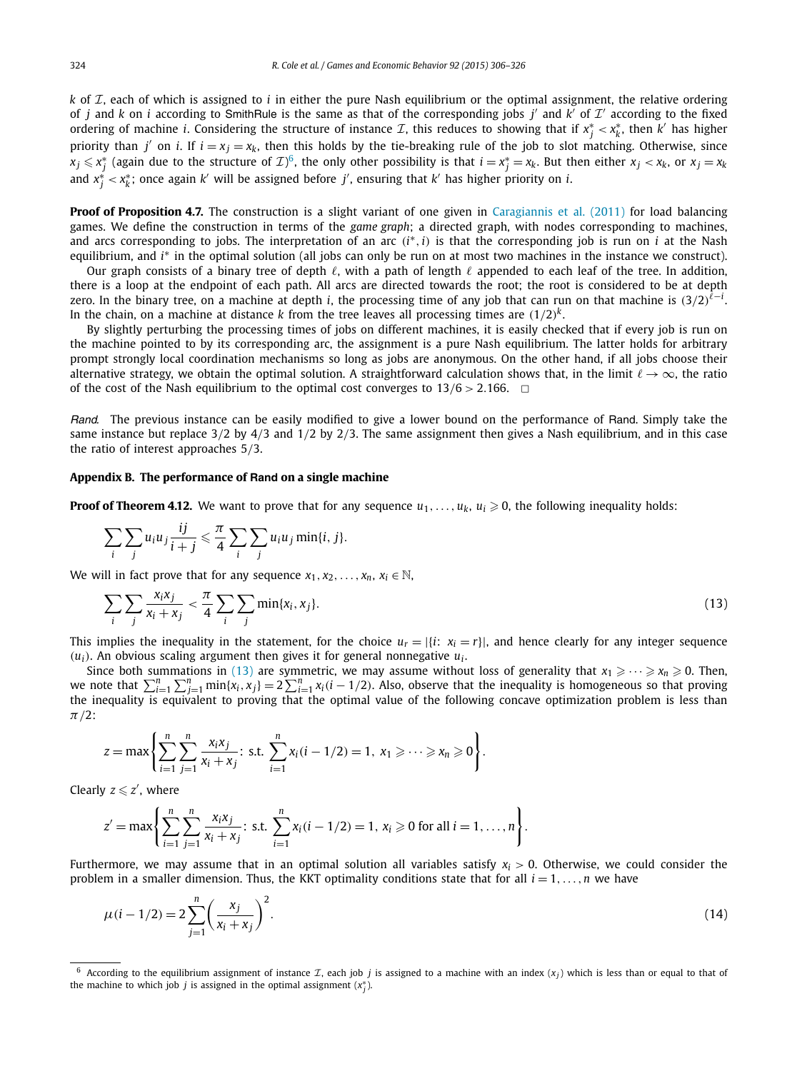<span id="page-18-0"></span> $k$  of  $I$ , each of which is assigned to  $i$  in either the pure Nash equilibrium or the optimal assignment, the relative ordering of *j* and *k* on *i* according to SmithRule is the same as that of the corresponding jobs  $j'$  and  $k'$  of  $\mathcal{I}'$  according to the fixed ordering of machine *i*. Considering the structure of instance  $\mathcal{I}$ , this reduces to showing that if  $x_j^* < x_k^*$ , then  $k'$  has higher priority than *j'* on *i*. If  $i = x_j = x_k$ , then this holds by the tie-breaking rule of the job to slot matching. Otherwise, since  $x_j \leq x_j^*$  (again due to the structure of  $\mathcal{I})^6$ , the only other possibility is that  $i = x_j^* = x_k$ . But then either  $x_j < x_k$ , or  $x_j = x_k$ and  $x_j^* < x_k^*$ ; once again *k'* will be assigned before *j'*, ensuring that *k'* has higher priority on *i*.

**Proof of Proposition 4.7.** The construction is a slight variant of one given in [Caragiannis et al. \(2011\)](#page-19-0) for load balancing games. We define the construction in terms of the *game graph*; a directed graph, with nodes corresponding to machines, and arcs corresponding to jobs. The interpretation of an arc  $(i^*, i)$  is that the corresponding job is run on  $i$  at the Nash equilibrium, and *i*<sup>\*</sup> in the optimal solution (all jobs can only be run on at most two machines in the instance we construct).

Our graph consists of a binary tree of depth  $\ell$ , with a path of length  $\ell$  appended to each leaf of the tree. In addition, there is a loop at the endpoint of each path. All arcs are directed towards the root; the root is considered to be at depth zero. In the binary tree, on a machine at depth *i*, the processing time of any job that can run on that machine is *(*3*/*2*)*−*<sup>i</sup>* . In the chain, on a machine at distance *k* from the tree leaves all processing times are *(*1*/*2*) k*.

By slightly perturbing the processing times of jobs on different machines, it is easily checked that if every job is run on the machine pointed to by its corresponding arc, the assignment is a pure Nash equilibrium. The latter holds for arbitrary prompt strongly local coordination mechanisms so long as jobs are anonymous. On the other hand, if all jobs choose their alternative strategy, we obtain the optimal solution. A straightforward calculation shows that, in the limit  $\ell \to \infty$ , the ratio of the cost of the Nash equilibrium to the optimal cost converges to  $13/6 > 2.166$ .  $\Box$ 

Rand*.* The previous instance can be easily modified to give a lower bound on the performance of Rand. Simply take the same instance but replace 3*/*2 by 4*/*3 and 1*/*2 by 2*/*3. The same assignment then gives a Nash equilibrium, and in this case the ratio of interest approaches 5*/*3.

#### **Appendix B. The performance of Rand on a single machine**

**Proof of Theorem 4.12.** We want to prove that for any sequence  $u_1, \ldots, u_k, u_i \geq 0$ , the following inequality holds:

$$
\sum_{i}\sum_{j}u_{i}u_{j}\frac{ij}{i+j}\leqslant \frac{\pi}{4}\sum_{i}\sum_{j}u_{i}u_{j}\min\{i,j\}.
$$

We will in fact prove that for any sequence  $x_1, x_2, \ldots, x_n, x_i \in \mathbb{N}$ ,

$$
\sum_{i} \sum_{j} \frac{x_i x_j}{x_i + x_j} < \frac{\pi}{4} \sum_{i} \sum_{j} \min\{x_i, x_j\}. \tag{13}
$$

This implies the inequality in the statement, for the choice  $u_r = |\{i: x_i = r\}|$ , and hence clearly for any integer sequence  $(u_i)$ . An obvious scaling argument then gives it for general nonnegative  $u_i$ .

Since both summations in (13) are symmetric, we may assume without loss of generality that  $x_1 \geq \cdots \geq x_n \geq 0$ . Then, we note that  $\sum_{i=1}^n\sum_{j=1}^n\min\{x_i,x_j\}=2\sum_{i=1}^nx_i(i-1/2)$ . Also, observe that the inequality is homogeneous so that proving the inequality is equivalent to proving that the optimal value of the following concave optimization problem is less than *π/*2:

$$
z = \max \left\{ \sum_{i=1}^{n} \sum_{j=1}^{n} \frac{x_i x_j}{x_i + x_j}; \text{ s.t. } \sum_{i=1}^{n} x_i (i - 1/2) = 1, x_1 \geqslant \cdots \geqslant x_n \geqslant 0 \right\}.
$$

Clearly  $z \leqslant z'$ , where

$$
z' = \max \left\{ \sum_{i=1}^{n} \sum_{j=1}^{n} \frac{x_i x_j}{x_i + x_j}; \text{ s.t. } \sum_{i=1}^{n} x_i (i - 1/2) = 1, x_i \ge 0 \text{ for all } i = 1, ..., n \right\}.
$$

Furthermore, we may assume that in an optimal solution all variables satisfy *xi >* 0. Otherwise, we could consider the problem in a smaller dimension. Thus, the KKT optimality conditions state that for all  $i = 1, \ldots, n$  we have

$$
\mu(i - 1/2) = 2 \sum_{j=1}^{n} \left( \frac{x_j}{x_i + x_j} \right)^2.
$$
\n(14)

According to the equilibrium assignment of instance  $I$ , each job *j* is assigned to a machine with an index  $(x<sub>j</sub>)$  which is less than or equal to that of the machine to which job *j* is assigned in the optimal assignment  $(x_j^*)$ .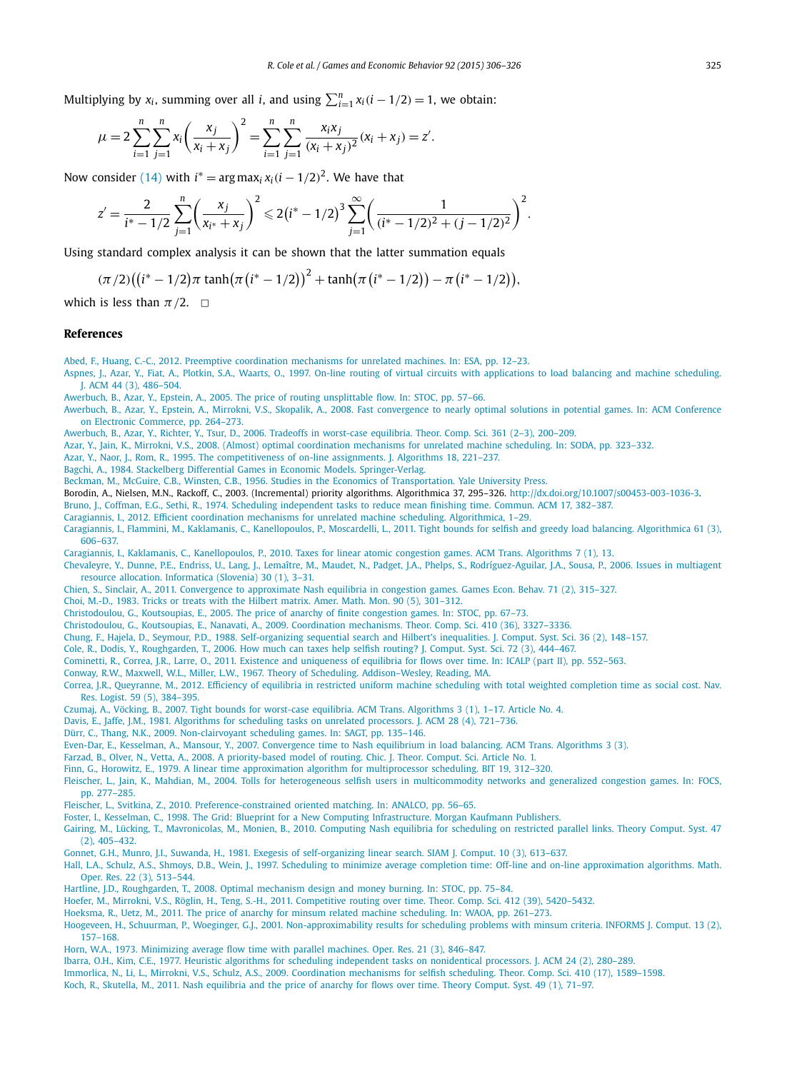<span id="page-19-0"></span>Multiplying by  $x_i$ , summing over all *i*, and using  $\sum_{i=1}^{n} x_i(i-1/2) = 1$ , we obtain:

$$
\mu = 2 \sum_{i=1}^{n} \sum_{j=1}^{n} x_i \left( \frac{x_j}{x_i + x_j} \right)^2 = \sum_{i=1}^{n} \sum_{j=1}^{n} \frac{x_i x_j}{(x_i + x_j)^2} (x_i + x_j) = z'.
$$

Now consider [\(14\)](#page-18-0) with  $i^* = \arg \max_i x_i (i - 1/2)^2$ . We have that

$$
z' = \frac{2}{i^*-1/2} \sum_{j=1}^n \left(\frac{x_j}{x_{i^*}+x_j}\right)^2 \leq 2\left(i^*-1/2\right)^3 \sum_{j=1}^\infty \left(\frac{1}{(i^*-1/2)^2+(j-1/2)^2}\right)^2.
$$

Using standard complex analysis it can be shown that the latter summation equals

$$
(\pi/2)\big((i^*-1/2)\pi\tanh(\pi(i^*-1/2))^2+\tanh(\pi(i^*-1/2))-\pi(i^*-1/2)\big),\,
$$

which is less than  $\pi/2$ .  $\Box$ 

# **References**

[Abed, F., Huang, C.-C., 2012. Preemptive coordination mechanisms for unrelated machines. In: ESA, pp. 12–23.](http://refhub.elsevier.com/S0899-8256(13)00056-0/bib41483132s1)

- [Aspnes, J., Azar, Y., Fiat, A., Plotkin, S.A., Waarts, O., 1997. On-line routing of virtual circuits with applications to load balancing and machine scheduling.](http://refhub.elsevier.com/S0899-8256(13)00056-0/bib4141463937s1) [J. ACM 44 \(3\), 486–504.](http://refhub.elsevier.com/S0899-8256(13)00056-0/bib4141463937s1)
- [Awerbuch, B., Azar, Y., Epstein, A., 2005. The price of routing unsplittable flow. In: STOC, pp. 57–66.](http://refhub.elsevier.com/S0899-8256(13)00056-0/bib4141453035s1)
- [Awerbuch, B., Azar, Y., Epstein, A., Mirrokni, V.S., Skopalik, A., 2008. Fast convergence to nearly optimal solutions in potential games. In: ACM Conference](http://refhub.elsevier.com/S0899-8256(13)00056-0/bib4141454D533038s1) [on Electronic Commerce, pp. 264–273.](http://refhub.elsevier.com/S0899-8256(13)00056-0/bib4141454D533038s1)
- [Awerbuch, B., Azar, Y., Richter, Y., Tsur, D., 2006. Tradeoffs in worst-case equilibria. Theor. Comp. Sci. 361 \(2–3\), 200–209.](http://refhub.elsevier.com/S0899-8256(13)00056-0/bib414152543036s1)
- [Azar, Y., Jain, K., Mirrokni, V.S., 2008. \(Almost\) optimal coordination mechanisms for unrelated machine scheduling. In: SODA, pp. 323–332.](http://refhub.elsevier.com/S0899-8256(13)00056-0/bib414A4D3038s1)

[Azar, Y., Naor, J., Rom, R., 1995. The competitiveness of on-line assignments. J. Algorithms 18, 221–237.](http://refhub.elsevier.com/S0899-8256(13)00056-0/bib414E523935s1)

- [Bagchi, A., 1984. Stackelberg Differential Games in Economic Models. Springer-Verlag.](http://refhub.elsevier.com/S0899-8256(13)00056-0/bib4261676368693834s1)
- [Beckman, M., McGuire, C.B., Winsten, C.B., 1956. Studies in the Economics of Transportation. Yale University Press.](http://refhub.elsevier.com/S0899-8256(13)00056-0/bib4265636B6D616E3536s1)
- Borodin, A., Nielsen, M.N., Rackoff, C., 2003. (Incremental) priority algorithms. Algorithmica 37, 295–326. <http://dx.doi.org/10.1007/s00453-003-1036-3>.
- [Bruno, J., Coffman, E.G., Sethi, R., 1974. Scheduling independent tasks to reduce mean finishing time. Commun. ACM 17, 382–387.](http://refhub.elsevier.com/S0899-8256(13)00056-0/bib4243533734s1)
- [Caragiannis, I., 2012. Efficient coordination mechanisms for unrelated machine scheduling. Algorithmica, 1–29.](http://refhub.elsevier.com/S0899-8256(13)00056-0/bib433039s1)
- [Caragiannis, I., Flammini, M., Kaklamanis, C., Kanellopoulos, P., Moscardelli, L., 2011. Tight bounds for selfish and greedy load balancing. Algorithmica](http://refhub.elsevier.com/S0899-8256(13)00056-0/bib43464B4B4D3036s1) 61 (3), [606–637.](http://refhub.elsevier.com/S0899-8256(13)00056-0/bib43464B4B4D3036s1)
- [Caragiannis, I., Kaklamanis, C., Kanellopoulos, P., 2010. Taxes for linear atomic congestion games. ACM Trans. Algorithms 7 \(1\), 13.](http://refhub.elsevier.com/S0899-8256(13)00056-0/bib434B4Bs1)
- [Chevaleyre, Y., Dunne, P.E., Endriss, U., Lang, J., Lemaître, M., Maudet, N., Padget, J.A., Phelps, S., Rodríguez-Aguilar, J.A., Sousa, P., 2006. Issues](http://refhub.elsevier.com/S0899-8256(13)00056-0/bib4344454C4C4D505052533036s1) in multiagent [resource allocation. Informatica \(Slovenia\) 30 \(1\), 3–31.](http://refhub.elsevier.com/S0899-8256(13)00056-0/bib4344454C4C4D505052533036s1)
- [Chien, S., Sinclair, A., 2011. Convergence to approximate Nash equilibria in congestion games. Games Econ. Behav. 71 \(2\), 315–327.](http://refhub.elsevier.com/S0899-8256(13)00056-0/bib43533037s1)
- [Choi, M.-D., 1983. Tricks or treats with the Hilbert matrix. Amer. Math. Mon. 90 \(5\), 301–312.](http://refhub.elsevier.com/S0899-8256(13)00056-0/bib43686F693833s1)
- [Christodoulou, G., Koutsoupias, E., 2005. The price of anarchy of finite congestion games. In: STOC, pp. 67–73.](http://refhub.elsevier.com/S0899-8256(13)00056-0/bib434B3035s1)
- [Christodoulou, G., Koutsoupias, E., Nanavati, A., 2009. Coordination mechanisms. Theor. Comp. Sci. 410 \(36\), 3327–3336.](http://refhub.elsevier.com/S0899-8256(13)00056-0/bib434B4E3039s1)
- [Chung, F., Hajela, D., Seymour, P.D., 1988. Self-organizing sequential search and Hilbert's inequalities. J. Comput. Syst. Sci. 36 \(2\), 148–157.](http://refhub.elsevier.com/S0899-8256(13)00056-0/bib4368756E673139383853656C664F7267616E697A696E67s1)
- [Cole, R., Dodis, Y., Roughgarden, T., 2006. How much can taxes help selfish routing? J. Comput. Syst. Sci. 72 \(3\), 444–467.](http://refhub.elsevier.com/S0899-8256(13)00056-0/bib4344523036s1)
- [Cominetti, R., Correa, J.R., Larre, O., 2011. Existence and uniqueness of equilibria for flows over time. In: ICALP \(part II\), pp. 552–563.](http://refhub.elsevier.com/S0899-8256(13)00056-0/bib43434Cs1)
- [Conway, R.W., Maxwell, W.L., Miller, L.W., 1967. Theory of Scheduling. Addison–Wesley, Reading, MA.](http://refhub.elsevier.com/S0899-8256(13)00056-0/bib434D4D3637s1)
- [Correa, J.R., Queyranne, M., 2012. Efficiency of equilibria in restricted uniform machine scheduling with total weighted completion time as social cost. Nav.](http://refhub.elsevier.com/S0899-8256(13)00056-0/bib43513130s1) [Res. Logist. 59 \(5\), 384–395.](http://refhub.elsevier.com/S0899-8256(13)00056-0/bib43513130s1)
- [Czumaj, A., Vöcking, B., 2007. Tight bounds for worst-case equilibria. ACM Trans. Algorithms 3 \(1\), 1–17. Article No. 4.](http://refhub.elsevier.com/S0899-8256(13)00056-0/bib43563032s1)
- [Davis, E., Jaffe, J.M., 1981. Algorithms for scheduling tasks on unrelated processors. J. ACM 28 \(4\), 721–736.](http://refhub.elsevier.com/S0899-8256(13)00056-0/bib444A3831s1)
- [Dürr, C., Thang, N.K., 2009. Non-clairvoyant scheduling games. In: SAGT, pp. 135–146.](http://refhub.elsevier.com/S0899-8256(13)00056-0/bib44543039s1)
- [Even-Dar, E., Kesselman, A., Mansour, Y., 2007. Convergence time to Nash equilibrium in load balancing. ACM Trans. Algorithms 3 \(3\).](http://refhub.elsevier.com/S0899-8256(13)00056-0/bib454B4D3033s1)
- [Farzad, B., Olver, N., Vetta, A., 2008. A priority-based model of routing. Chic. J. Theor. Comput. Sci. Article No. 1.](http://refhub.elsevier.com/S0899-8256(13)00056-0/bib464F563038s1)
- [Finn, G., Horowitz, E., 1979. A linear time approximation algorithm for multiprocessor scheduling. BIT 19, 312–320.](http://refhub.elsevier.com/S0899-8256(13)00056-0/bib46483739s1)
- [Fleischer, L., Jain, K., Mahdian, M., 2004. Tolls for heterogeneous selfish users in multicommodity networks and generalized congestion games. In: FOCS,](http://refhub.elsevier.com/S0899-8256(13)00056-0/bib464A4D3034s1) pp. [277–285.](http://refhub.elsevier.com/S0899-8256(13)00056-0/bib464A4D3034s1)
- [Fleischer, L., Svitkina, Z., 2010. Preference-constrained oriented matching. In: ANALCO, pp. 56–65.](http://refhub.elsevier.com/S0899-8256(13)00056-0/bib46533130s1)
- [Foster, I., Kesselman, C., 1998. The Grid: Blueprint for a New Computing Infrastructure. Morgan Kaufmann Publishers.](http://refhub.elsevier.com/S0899-8256(13)00056-0/bib67726964s1)
- [Gairing, M., Lücking, T., Mavronicolas, M., Monien, B., 2010. Computing Nash equilibria for scheduling on restricted parallel links. Theory Comput. Syst. 47](http://refhub.elsevier.com/S0899-8256(13)00056-0/bib474C4D4D3130s1) [\(2\), 405–432.](http://refhub.elsevier.com/S0899-8256(13)00056-0/bib474C4D4D3130s1)
- [Gonnet, G.H., Munro, J.I., Suwanda, H., 1981. Exegesis of self-organizing linear search. SIAM J. Comput. 10 \(3\), 613–637.](http://refhub.elsevier.com/S0899-8256(13)00056-0/bib476F6E6E6574313938314578656765736973s1)
- [Hall, L.A., Schulz, A.S., Shmoys, D.B., Wein, J., 1997. Scheduling to minimize average completion time: Off-line and on-line approximation algorithms.](http://refhub.elsevier.com/S0899-8256(13)00056-0/bib485353573937s1) Math. [Oper. Res. 22 \(3\), 513–544.](http://refhub.elsevier.com/S0899-8256(13)00056-0/bib485353573937s1)
- [Hartline, J.D., Roughgarden, T., 2008. Optimal mechanism design and money burning. In: STOC, pp. 75–84.](http://refhub.elsevier.com/S0899-8256(13)00056-0/bib48523038s1)
- [Hoefer, M., Mirrokni, V.S., Röglin, H., Teng, S.-H., 2011. Competitive routing over time. Theor. Comp. Sci. 412 \(39\), 5420–5432.](http://refhub.elsevier.com/S0899-8256(13)00056-0/bib484D52543131s1)
- [Hoeksma, R., Uetz, M., 2011. The price of anarchy for minsum related machine scheduling. In: WAOA, pp. 261–273.](http://refhub.elsevier.com/S0899-8256(13)00056-0/bib48553131s1)
- [Hoogeveen, H., Schuurman, P., Woeginger, G.J., 2001. Non-approximability results for scheduling problems with minsum criteria. INFORMS J. Comput. 13 \(2\),](http://refhub.elsevier.com/S0899-8256(13)00056-0/bib4853573031s1) [157–168.](http://refhub.elsevier.com/S0899-8256(13)00056-0/bib4853573031s1)
- [Horn, W.A., 1973. Minimizing average flow time with parallel machines. Oper. Res. 21 \(3\), 846–847.](http://refhub.elsevier.com/S0899-8256(13)00056-0/bib483733s1)
- [Ibarra, O.H., Kim, C.E., 1977. Heuristic algorithms for scheduling independent tasks on nonidentical processors. J. ACM 24 \(2\), 280–289.](http://refhub.elsevier.com/S0899-8256(13)00056-0/bib494B3737s1)
- [Immorlica, N., Li, L., Mirrokni, V.S., Schulz, A.S., 2009. Coordination mechanisms for selfish scheduling. Theor. Comp. Sci. 410 \(17\), 1589–1598.](http://refhub.elsevier.com/S0899-8256(13)00056-0/bib494C4D533039s1)
- [Koch, R., Skutella, M., 2011. Nash equilibria and the price of anarchy for flows over time. Theory Comput. Syst. 49 \(1\), 71–97.](http://refhub.elsevier.com/S0899-8256(13)00056-0/bib4B533131s1)